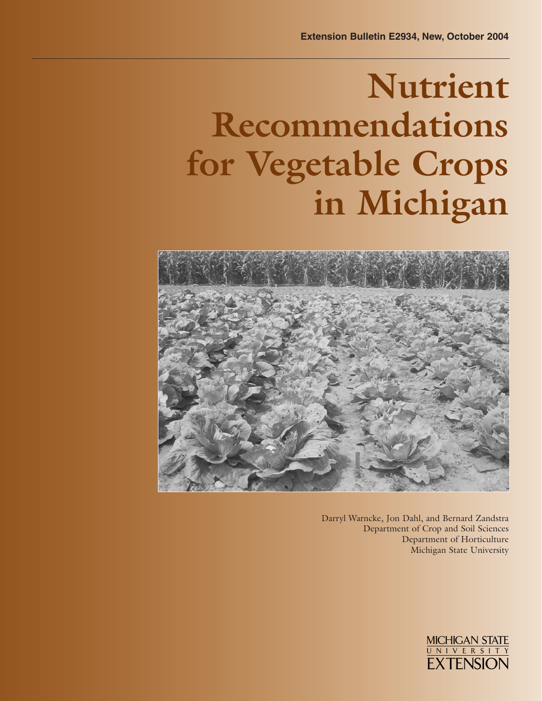# **Nutrient Recommendations for Vegetable Crops in Michigan**



Darryl Warncke, Jon Dahl, and Bernard Zandstra Department of Crop and Soil Sciences Department of Horticulture Michigan State University

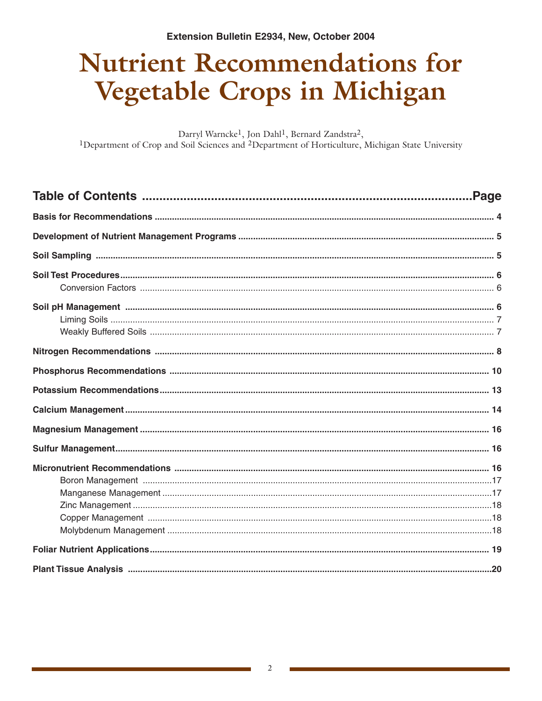## **Nutrient Recommendations for Vegetable Crops in Michigan**

Darryl Warncke<sup>1</sup>, Jon Dahl<sup>1</sup>, Bernard Zandstra<sup>2</sup>, <sup>1</sup>Department of Crop and Soil Sciences and <sup>2</sup>Department of Horticulture, Michigan State University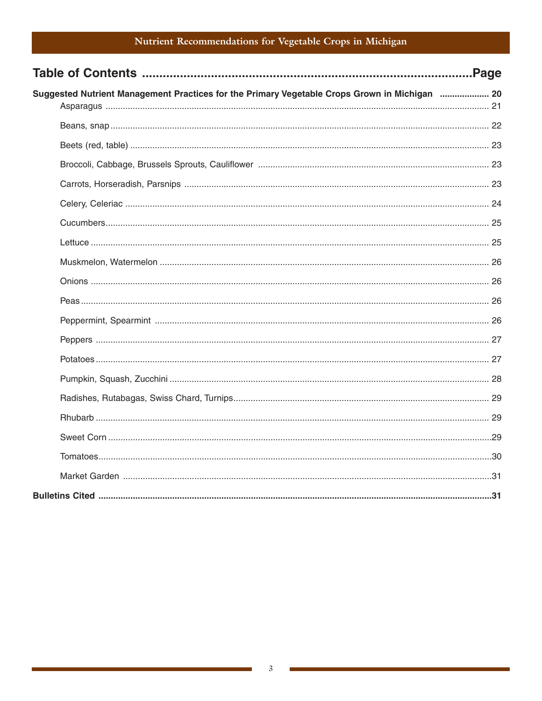## Nutrient Recommendations for Vegetable Crops in Michigan

|                                                                                               | Page. |
|-----------------------------------------------------------------------------------------------|-------|
| Suggested Nutrient Management Practices for the Primary Vegetable Crops Grown in Michigan  20 |       |
|                                                                                               |       |
|                                                                                               |       |
|                                                                                               |       |
|                                                                                               |       |
|                                                                                               |       |
|                                                                                               |       |
|                                                                                               |       |
|                                                                                               |       |
|                                                                                               |       |
|                                                                                               |       |
|                                                                                               |       |
|                                                                                               |       |
|                                                                                               |       |
|                                                                                               |       |
|                                                                                               |       |
|                                                                                               |       |
|                                                                                               |       |
|                                                                                               |       |
|                                                                                               |       |
|                                                                                               |       |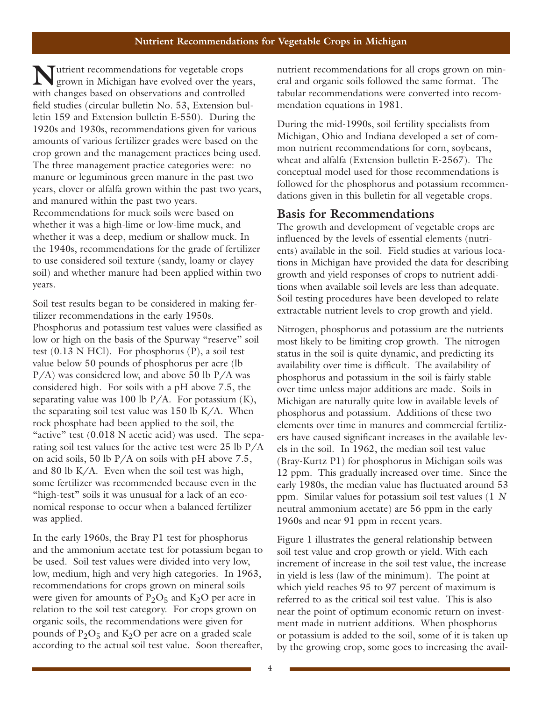**N**utrient recommendations for vegetable crops grown in Michigan have evolved over the years, with changes based on observations and controlled field studies (circular bulletin No. 53, Extension bulletin 159 and Extension bulletin E-550). During the 1920s and 1930s, recommendations given for various amounts of various fertilizer grades were based on the crop grown and the management practices being used. The three management practice categories were: no manure or leguminous green manure in the past two years, clover or alfalfa grown within the past two years, and manured within the past two years. Recommendations for muck soils were based on whether it was a high-lime or low-lime muck, and whether it was a deep, medium or shallow muck. In the 1940s, recommendations for the grade of fertilizer to use considered soil texture (sandy, loamy or clayey soil) and whether manure had been applied within two years.

Soil test results began to be considered in making fertilizer recommendations in the early 1950s. Phosphorus and potassium test values were classified as low or high on the basis of the Spurway "reserve" soil test  $(0.13 \text{ N } HCl)$ . For phosphorus  $(P)$ , a soil test value below 50 pounds of phosphorus per acre (lb  $P/A$ ) was considered low, and above 50 lb  $P/A$  was considered high. For soils with a pH above 7.5, the separating value was 100 lb  $P/A$ . For potassium  $(K)$ , the separating soil test value was  $150$  lb K/A. When rock phosphate had been applied to the soil, the "active" test (0.018 N acetic acid) was used. The separating soil test values for the active test were 25 lb P/A on acid soils, 50 lb P/A on soils with pH above 7.5, and 80 lb K/A. Even when the soil test was high, some fertilizer was recommended because even in the "high-test" soils it was unusual for a lack of an economical response to occur when a balanced fertilizer was applied.

In the early 1960s, the Bray P1 test for phosphorus and the ammonium acetate test for potassium began to be used. Soil test values were divided into very low, low, medium, high and very high categories. In 1963, recommendations for crops grown on mineral soils were given for amounts of  $P_2O_5$  and  $K_2O$  per acre in relation to the soil test category. For crops grown on organic soils, the recommendations were given for pounds of  $P_2O_5$  and  $K_2O$  per acre on a graded scale according to the actual soil test value. Soon thereafter, nutrient recommendations for all crops grown on mineral and organic soils followed the same format. The tabular recommendations were converted into recommendation equations in 1981.

During the mid-1990s, soil fertility specialists from Michigan, Ohio and Indiana developed a set of common nutrient recommendations for corn, soybeans, wheat and alfalfa (Extension bulletin E-2567). The conceptual model used for those recommendations is followed for the phosphorus and potassium recommendations given in this bulletin for all vegetable crops.

## **Basis for Recommendations**

The growth and development of vegetable crops are influenced by the levels of essential elements (nutrients) available in the soil. Field studies at various locations in Michigan have provided the data for describing growth and yield responses of crops to nutrient additions when available soil levels are less than adequate. Soil testing procedures have been developed to relate extractable nutrient levels to crop growth and yield.

Nitrogen, phosphorus and potassium are the nutrients most likely to be limiting crop growth. The nitrogen status in the soil is quite dynamic, and predicting its availability over time is difficult. The availability of phosphorus and potassium in the soil is fairly stable over time unless major additions are made. Soils in Michigan are naturally quite low in available levels of phosphorus and potassium. Additions of these two elements over time in manures and commercial fertilizers have caused significant increases in the available levels in the soil. In 1962, the median soil test value (Bray-Kurtz P1) for phosphorus in Michigan soils was 12 ppm. This gradually increased over time. Since the early 1980s, the median value has fluctuated around 53 ppm. Similar values for potassium soil test values (1 *N* neutral ammonium acetate) are 56 ppm in the early 1960s and near 91 ppm in recent years.

Figure 1 illustrates the general relationship between soil test value and crop growth or yield. With each increment of increase in the soil test value, the increase in yield is less (law of the minimum). The point at which yield reaches 95 to 97 percent of maximum is referred to as the critical soil test value. This is also near the point of optimum economic return on investment made in nutrient additions. When phosphorus or potassium is added to the soil, some of it is taken up by the growing crop, some goes to increasing the avail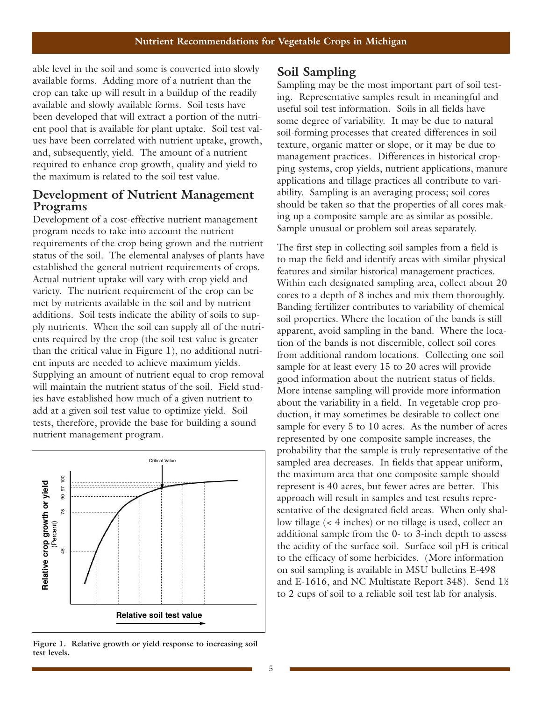able level in the soil and some is converted into slowly available forms. Adding more of a nutrient than the crop can take up will result in a buildup of the readily available and slowly available forms. Soil tests have been developed that will extract a portion of the nutrient pool that is available for plant uptake. Soil test values have been correlated with nutrient uptake, growth, and, subsequently, yield. The amount of a nutrient required to enhance crop growth, quality and yield to the maximum is related to the soil test value.

## **Development of Nutrient Management Programs**

Development of a cost-effective nutrient management program needs to take into account the nutrient requirements of the crop being grown and the nutrient status of the soil. The elemental analyses of plants have established the general nutrient requirements of crops. Actual nutrient uptake will vary with crop yield and variety. The nutrient requirement of the crop can be met by nutrients available in the soil and by nutrient additions. Soil tests indicate the ability of soils to supply nutrients. When the soil can supply all of the nutrients required by the crop (the soil test value is greater than the critical value in Figure 1), no additional nutrient inputs are needed to achieve maximum yields. Supplying an amount of nutrient equal to crop removal will maintain the nutrient status of the soil. Field studies have established how much of a given nutrient to add at a given soil test value to optimize yield. Soil tests, therefore, provide the base for building a sound nutrient management program.



**Figure 1. Relative growth or yield response to increasing soil test levels.**

## **Soil Sampling**

Sampling may be the most important part of soil testing. Representative samples result in meaningful and useful soil test information. Soils in all fields have some degree of variability. It may be due to natural soil-forming processes that created differences in soil texture, organic matter or slope, or it may be due to management practices. Differences in historical cropping systems, crop yields, nutrient applications, manure applications and tillage practices all contribute to variability. Sampling is an averaging process; soil cores should be taken so that the properties of all cores making up a composite sample are as similar as possible. Sample unusual or problem soil areas separately.

The first step in collecting soil samples from a field is to map the field and identify areas with similar physical features and similar historical management practices. Within each designated sampling area, collect about 20 cores to a depth of 8 inches and mix them thoroughly. Banding fertilizer contributes to variability of chemical soil properties. Where the location of the bands is still apparent, avoid sampling in the band. Where the location of the bands is not discernible, collect soil cores from additional random locations. Collecting one soil sample for at least every 15 to 20 acres will provide good information about the nutrient status of fields. More intense sampling will provide more information about the variability in a field. In vegetable crop production, it may sometimes be desirable to collect one sample for every 5 to 10 acres. As the number of acres represented by one composite sample increases, the probability that the sample is truly representative of the sampled area decreases. In fields that appear uniform, the maximum area that one composite sample should represent is 40 acres, but fewer acres are better. This approach will result in samples and test results representative of the designated field areas. When only shallow tillage (< 4 inches) or no tillage is used, collect an additional sample from the 0- to 3-inch depth to assess the acidity of the surface soil. Surface soil pH is critical to the efficacy of some herbicides. (More information on soil sampling is available in MSU bulletins E-498 and E-1616, and NC Multistate Report 348). Send 1½ to 2 cups of soil to a reliable soil test lab for analysis.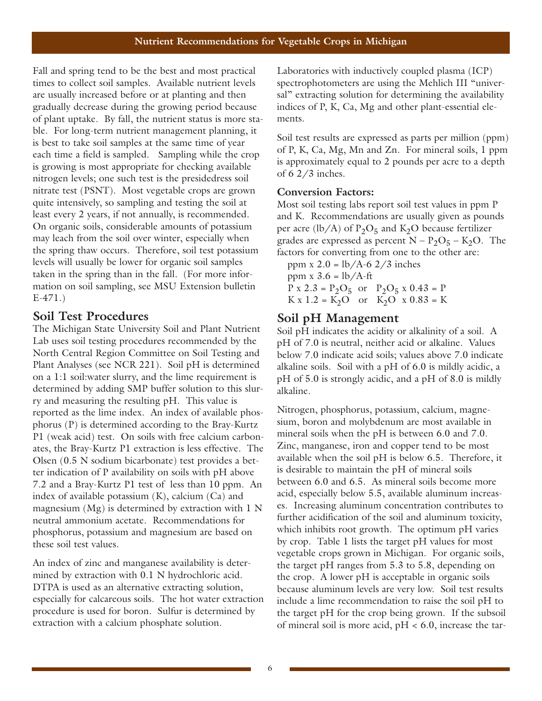Fall and spring tend to be the best and most practical times to collect soil samples. Available nutrient levels are usually increased before or at planting and then gradually decrease during the growing period because of plant uptake. By fall, the nutrient status is more stable. For long-term nutrient management planning, it is best to take soil samples at the same time of year each time a field is sampled. Sampling while the crop is growing is most appropriate for checking available nitrogen levels; one such test is the presidedress soil nitrate test (PSNT). Most vegetable crops are grown quite intensively, so sampling and testing the soil at least every 2 years, if not annually, is recommended. On organic soils, considerable amounts of potassium may leach from the soil over winter, especially when the spring thaw occurs. Therefore, soil test potassium levels will usually be lower for organic soil samples taken in the spring than in the fall. (For more information on soil sampling, see MSU Extension bulletin E-471.)

## **Soil Test Procedures**

The Michigan State University Soil and Plant Nutrient Lab uses soil testing procedures recommended by the North Central Region Committee on Soil Testing and Plant Analyses (see NCR 221). Soil pH is determined on a 1:1 soil:water slurry, and the lime requirement is determined by adding SMP buffer solution to this slurry and measuring the resulting pH. This value is reported as the lime index. An index of available phosphorus (P) is determined according to the Bray-Kurtz P1 (weak acid) test. On soils with free calcium carbonates, the Bray-Kurtz P1 extraction is less effective. The Olsen (0.5 N sodium bicarbonate) test provides a better indication of P availability on soils with pH above 7.2 and a Bray-Kurtz P1 test of less than 10 ppm. An index of available potassium (K), calcium (Ca) and magnesium (Mg) is determined by extraction with 1 N neutral ammonium acetate. Recommendations for phosphorus, potassium and magnesium are based on these soil test values.

An index of zinc and manganese availability is determined by extraction with 0.1 N hydrochloric acid. DTPA is used as an alternative extracting solution, especially for calcareous soils. The hot water extraction procedure is used for boron. Sulfur is determined by extraction with a calcium phosphate solution.

Laboratories with inductively coupled plasma (ICP) spectrophotometers are using the Mehlich III "universal" extracting solution for determining the availability indices of P, K, Ca, Mg and other plant-essential elements.

Soil test results are expressed as parts per million (ppm) of P, K, Ca, Mg, Mn and Zn. For mineral soils, 1 ppm is approximately equal to 2 pounds per acre to a depth of 6 2/3 inches.

#### **Conversion Factors:**

Most soil testing labs report soil test values in ppm P and K. Recommendations are usually given as pounds per acre (lb/A) of  $P_2O_5$  and  $K_2O$  because fertilizer grades are expressed as percent  $N - P_2O_5 - K_2O$ . The factors for converting from one to the other are:

ppm x  $2.0 = lb/A-6$   $2/3$  inches ppm  $x$  3.6 = lb/A-ft  $P x 2.3 = P_2O_5$  or  $P_2O_5 x 0.43 = P$  $K \times 1.2 = K_2O$  or  $K_2O \times 0.83 = K$ 

## **Soil pH Management**

Soil pH indicates the acidity or alkalinity of a soil. A pH of 7.0 is neutral, neither acid or alkaline. Values below 7.0 indicate acid soils; values above 7.0 indicate alkaline soils. Soil with a pH of 6.0 is mildly acidic, a pH of 5.0 is strongly acidic, and a pH of 8.0 is mildly alkaline.

Nitrogen, phosphorus, potassium, calcium, magnesium, boron and molybdenum are most available in mineral soils when the pH is between 6.0 and 7.0. Zinc, manganese, iron and copper tend to be most available when the soil pH is below 6.5. Therefore, it is desirable to maintain the pH of mineral soils between 6.0 and 6.5. As mineral soils become more acid, especially below 5.5, available aluminum increases. Increasing aluminum concentration contributes to further acidification of the soil and aluminum toxicity, which inhibits root growth. The optimum pH varies by crop. Table 1 lists the target pH values for most vegetable crops grown in Michigan. For organic soils, the target pH ranges from 5.3 to 5.8, depending on the crop. A lower pH is acceptable in organic soils because aluminum levels are very low. Soil test results include a lime recommendation to raise the soil pH to the target pH for the crop being grown. If the subsoil of mineral soil is more acid,  $pH < 6.0$ , increase the tar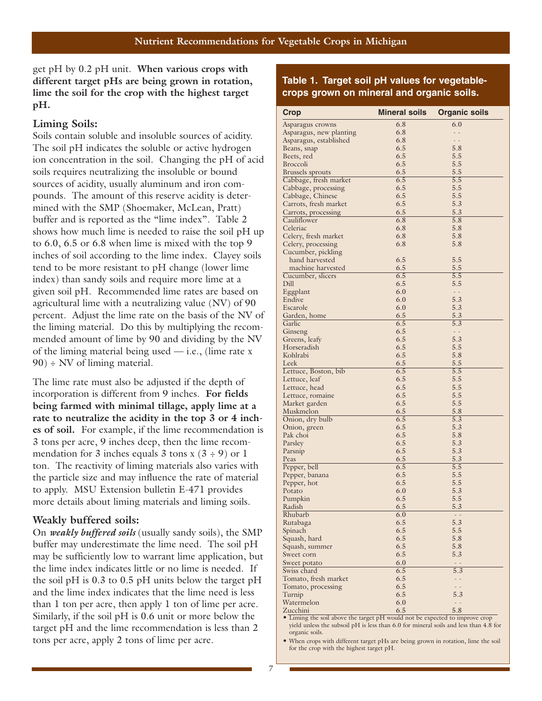get pH by 0.2 pH unit. **When various crops with different target pHs are being grown in rotation, lime the soil for the crop with the highest target pH.** 

#### **Liming Soils:**

Soils contain soluble and insoluble sources of acidity. The soil pH indicates the soluble or active hydrogen ion concentration in the soil. Changing the pH of acid soils requires neutralizing the insoluble or bound sources of acidity, usually aluminum and iron compounds. The amount of this reserve acidity is determined with the SMP (Shoemaker, McLean, Pratt) buffer and is reported as the "lime index". Table 2 shows how much lime is needed to raise the soil pH up to 6.0, 6.5 or 6.8 when lime is mixed with the top 9 inches of soil according to the lime index. Clayey soils tend to be more resistant to pH change (lower lime index) than sandy soils and require more lime at a given soil pH. Recommended lime rates are based on agricultural lime with a neutralizing value (NV) of 90 percent. Adjust the lime rate on the basis of the NV of the liming material. Do this by multiplying the recommended amount of lime by 90 and dividing by the NV of the liming material being used  $-$  i.e., (lime rate x  $90$ ) ÷ NV of liming material.

The lime rate must also be adjusted if the depth of incorporation is different from 9 inches. **For fields being farmed with minimal tillage, apply lime at a rate to neutralize the acidity in the top 3 or 4 inches of soil.** For example, if the lime recommendation is 3 tons per acre, 9 inches deep, then the lime recommendation for 3 inches equals 3 tons x  $(3 \div 9)$  or 1 ton. The reactivity of liming materials also varies with the particle size and may influence the rate of material to apply. MSU Extension bulletin E-471 provides more details about liming materials and liming soils.

#### **Weakly buffered soils:**

On *weakly buffered soils* (usually sandy soils), the SMP buffer may underestimate the lime need. The soil pH may be sufficiently low to warrant lime application, but the lime index indicates little or no lime is needed. If the soil pH is 0.3 to 0.5 pH units below the target pH and the lime index indicates that the lime need is less than 1 ton per acre, then apply 1 ton of lime per acre. Similarly, if the soil pH is 0.6 unit or more below the target pH and the lime recommendation is less than 2 tons per acre, apply 2 tons of lime per acre.

**Table 1. Target soil pH values for vegetablecrops grown on mineral and organic soils.**

| <b>Crop</b>                                  | <b>Mineral soils</b> | <b>Organic soils</b>      |
|----------------------------------------------|----------------------|---------------------------|
| Asparagus crowns                             | 6.8                  | 6.0                       |
| Asparagus, new planting                      | 6.8                  |                           |
| Asparagus, established                       | 6.8                  |                           |
| Beans, snap                                  | 6.5                  | 5.8                       |
| Beets, red                                   | 6.5                  | 5.5                       |
| <b>Broccoli</b>                              | 6.5                  | 5.5                       |
| Brussels sprouts                             | 6.5                  | 5.5                       |
| Cabbage, fresh market                        | 6.5                  | 5.5                       |
| Cabbage, processing                          | 6.5                  | 5.5                       |
| Cabbage, Chinese                             | 6.5<br>6.5           | 5.5<br>5.3                |
| Carrots, fresh market<br>Carrots, processing | 6.5                  | 5.3                       |
| Cauliflower                                  | 6.8                  | 5.8                       |
| Celeriac                                     | 6.8                  | 5.8                       |
| Celery, fresh market                         | 6.8                  | 5.8                       |
| Celery, processing                           | 6.8                  | 5.8                       |
| Cucumber, pickling                           |                      |                           |
| hand harvested                               | 6.5                  | 5.5                       |
| machine harvested                            | 6.5                  | 5.5                       |
| Cucumber, slicers                            | 6.5                  | 5.5                       |
| Dill                                         | 6.5                  | 5.5                       |
| Eggplant                                     | 6.0                  | $\omega_{\rm c}$ .        |
| Endive                                       | 6.0                  | 5.3                       |
| Escarole                                     | 6.0                  | 5.3                       |
| Garden, home                                 | 6.5                  | 5.3                       |
| Garlic                                       | 6.5                  | 5.3                       |
| Ginseng                                      | 6.5                  | $\omega_{\rm c}$          |
| Greens, leafy                                | 6.5                  | 5.3                       |
| Horseradish                                  | 6.5                  | 5.5                       |
| Kohlrabi                                     | 6.5                  | 5.8                       |
| Leek                                         | 6.5                  | 5.5                       |
| Lettuce, Boston, bib                         | 6.5<br>6.5           | 5.5<br>5.5                |
| Lettuce, leaf<br>Lettuce, head               | 6.5                  | 5.5                       |
| Lettuce, romaine                             | 6.5                  | 5.5                       |
| Market garden                                | 6.5                  | 5.5                       |
| Muskmelon                                    | 6.5                  | 5.8                       |
| Onion, dry bulb                              | 6.5                  | 5.3                       |
| Onion, green                                 | 6.5                  | 5.3                       |
| Pak choi                                     | 6.5                  | 5.8                       |
| Parsley                                      | 6.5                  | 5.3                       |
| Parsnip                                      | 6.5                  | 5.3                       |
| Peas                                         | 6.5                  | 5.3                       |
| Pepper, bell                                 | 6.5                  | 5.5                       |
| Pepper, banana                               | 6.5                  | 5.5                       |
| Pepper, hot                                  | 6.5                  | 5.5                       |
| Potato                                       | 6.0                  | 5.3                       |
| Pumpkin                                      | 6.5                  | 5.5                       |
| Radish                                       | 6.5                  | 5.3                       |
| Rhubarb                                      | 6.0                  | $\mathbb{Z}^{\mathbb{Z}}$ |
| Rutabaga                                     | 6.5                  | 5.3                       |
| Spinach                                      | 6.5                  | 5.5                       |
| Squash, hard                                 | 6.5                  | 5.8                       |
| Squash, summer                               | 6.5                  | 5.8                       |
| Sweet corn                                   | 6.5                  | 5.3                       |
| Sweet potato                                 | 6.0<br>6.5           | $\sim$ $\sim$<br>5.3      |
| Swiss chard<br>Tomato, fresh market          | 6.5                  | - -                       |
| Tomato, processing                           | 6.5                  | $ -$                      |
| Turnip                                       | 6.5                  | 5.3                       |
| Watermelon                                   | 6.0                  | $\overline{\phantom{a}}$  |
| Zucchini                                     | 6.5                  | 5.8                       |

• Liming the soil above the target pH would not be expected to improve crop yield unless the subsoil pH is less than 6.0 for mineral soils and less than 4.8 for organic soils.

• When crops with different target pHs are being grown in rotation, lime the soil for the crop with the highest target pH.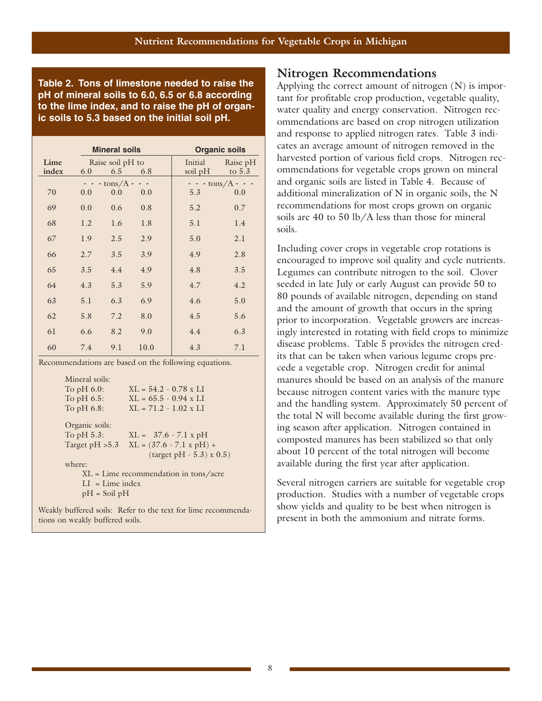**Table 2. Tons of limestone needed to raise the pH of mineral soils to 6.0, 6.5 or 6.8 according to the lime index, and to raise the pH of organic soils to 5.3 based on the initial soil pH.**

|               |     | <b>Mineral soils</b>    |      | <b>Organic soils</b> |                         |
|---------------|-----|-------------------------|------|----------------------|-------------------------|
| Lime<br>index | 6.0 | Raise soil pH to<br>6.5 | 6.8  | Initial<br>soil pH   | Raise pH<br>to $5.3$    |
|               |     | $-$ tons/ $A$ -         |      |                      | $- - \text{tons/A} - -$ |
| 70            | 0.0 | 0.0                     | 0.0  | 5.3                  | 0.0                     |
| 69            | 0.0 | 0.6                     | 0.8  | 5.2                  | 0.7                     |
| 68            | 1.2 | 1.6                     | 1.8  | 5.1                  | 1.4                     |
| 67            | 1.9 | 2.5                     | 2.9  | 5.0                  | 2.1                     |
| 66            | 2.7 | 3.5                     | 3.9  | 4.9                  | 2.8                     |
| 65            | 3.5 | 4.4                     | 4.9  | 4.8                  | 3.5                     |
| 64            | 4.3 | 5.3                     | 5.9  | 4.7                  | 4.2                     |
| 63            | 5.1 | 6.3                     | 6.9  | 4.6                  | 5.0                     |
| 62            | 5.8 | 7.2                     | 8.0  | 4.5                  | 5.6                     |
| 61            | 6.6 | 8.2                     | 9.0  | 4.4                  | 6.3                     |
| 60            | 7.4 | 9.1                     | 10.0 | 4.3                  | 7.1                     |

Recommendations are based on the following equations.

Mineral soils:<br>To pH 6.0:  $XL = 54.2 - 0.78 x LI$ To pH 6.5:  $KL = 65.5 - 0.94 \times LI$ To pH 6.8:  $KL = 71.2 - 1.02$  x LI Organic soils: To pH 5.3:  $XL = 37.6 - 7.1 x pH$ Target pH  $>5.3$  XL = (37.6 - 7.1 x pH) + (target pH - 5.3) x 0.5) where: XL = Lime recommendation in tons/acre  $LI = Linne$  index pH = Soil pH

Weakly buffered soils: Refer to the text for lime recommendations on weakly buffered soils.

#### **Nitrogen Recommendations**

Applying the correct amount of nitrogen (N) is important for profitable crop production, vegetable quality, water quality and energy conservation. Nitrogen recommendations are based on crop nitrogen utilization and response to applied nitrogen rates. Table 3 indicates an average amount of nitrogen removed in the harvested portion of various field crops. Nitrogen recommendations for vegetable crops grown on mineral and organic soils are listed in Table 4. Because of additional mineralization of N in organic soils, the N recommendations for most crops grown on organic soils are 40 to 50 lb/A less than those for mineral soils.

Including cover crops in vegetable crop rotations is encouraged to improve soil quality and cycle nutrients. Legumes can contribute nitrogen to the soil. Clover seeded in late July or early August can provide 50 to 80 pounds of available nitrogen, depending on stand and the amount of growth that occurs in the spring prior to incorporation. Vegetable growers are increasingly interested in rotating with field crops to minimize disease problems. Table 5 provides the nitrogen credits that can be taken when various legume crops precede a vegetable crop. Nitrogen credit for animal manures should be based on an analysis of the manure because nitrogen content varies with the manure type and the handling system. Approximately 50 percent of the total N will become available during the first growing season after application. Nitrogen contained in composted manures has been stabilized so that only about 10 percent of the total nitrogen will become available during the first year after application.

Several nitrogen carriers are suitable for vegetable crop production. Studies with a number of vegetable crops show yields and quality to be best when nitrogen is present in both the ammonium and nitrate forms.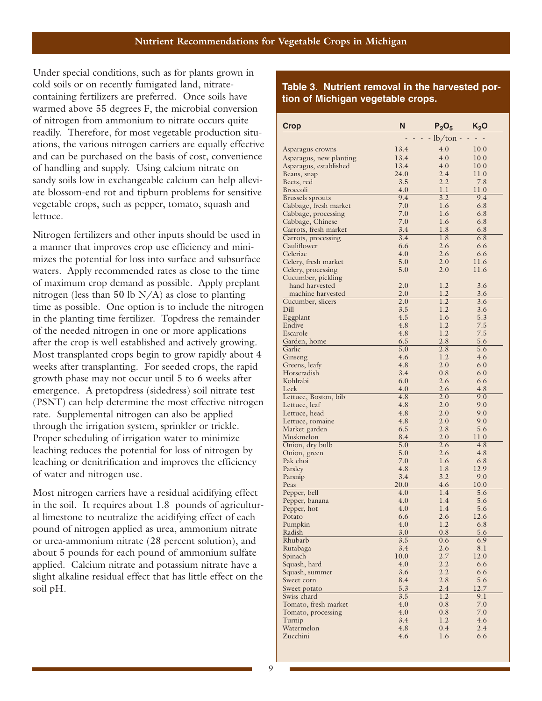Under special conditions, such as for plants grown in cold soils or on recently fumigated land, nitratecontaining fertilizers are preferred. Once soils have warmed above 55 degrees F, the microbial conversion of nitrogen from ammonium to nitrate occurs quite readily. Therefore, for most vegetable production situations, the various nitrogen carriers are equally effective and can be purchased on the basis of cost, convenience of handling and supply. Using calcium nitrate on sandy soils low in exchangeable calcium can help alleviate blossom-end rot and tipburn problems for sensitive vegetable crops, such as pepper, tomato, squash and lettuce.

Nitrogen fertilizers and other inputs should be used in a manner that improves crop use efficiency and minimizes the potential for loss into surface and subsurface waters. Apply recommended rates as close to the time of maximum crop demand as possible. Apply preplant nitrogen (less than 50 lb  $N/A$ ) as close to planting time as possible. One option is to include the nitrogen in the planting time fertilizer. Topdress the remainder of the needed nitrogen in one or more applications after the crop is well established and actively growing. Most transplanted crops begin to grow rapidly about 4 weeks after transplanting. For seeded crops, the rapid growth phase may not occur until 5 to 6 weeks after emergence. A pretopdress (sidedress) soil nitrate test (PSNT) can help determine the most effective nitrogen rate. Supplemental nitrogen can also be applied through the irrigation system, sprinkler or trickle. Proper scheduling of irrigation water to minimize leaching reduces the potential for loss of nitrogen by leaching or denitrification and improves the efficiency of water and nitrogen use.

Most nitrogen carriers have a residual acidifying effect in the soil. It requires about 1.8 pounds of agricultural limestone to neutralize the acidifying effect of each pound of nitrogen applied as urea, ammonium nitrate or urea-ammonium nitrate (28 percent solution), and about 5 pounds for each pound of ammonium sulfate applied. Calcium nitrate and potassium nitrate have a slight alkaline residual effect that has little effect on the soil pH.

#### **Table 3. Nutrient removal in the harvested portion of Michigan vegetable crops.**

| Crop                                      | N           | $P_2O_5$    | $K_2$ O     |
|-------------------------------------------|-------------|-------------|-------------|
|                                           |             | $-lb/ton$ - |             |
| Asparagus crowns                          | 13.4        | 4.0         | 10.0        |
| Asparagus, new planting                   | 13.4        | 4.0         | 10.0        |
| Asparagus, established                    | 13.4        | 4.0         | 10.0        |
| Beans, snap                               | 24.0        | 2.4         | 11.0        |
| Beets, red                                | 3.5         | 2.2         | 7.8         |
| <b>Broccoli</b>                           | 4.0         | 1.1         | 11.0        |
| <b>Brussels</b> sprouts                   | 9.4         | 3.2         | 9.4         |
| Cabbage, fresh market                     | 7.0         | 1.6         | 6.8         |
| Cabbage, processing                       | 7.0         | 1.6         | 6.8         |
| Cabbage, Chinese<br>Carrots, fresh market | 7.0<br>3.4  | 1.6<br>1.8  | 6.8<br>6.8  |
| Carrots, processing                       | 3.4         | 1.8         | 6.8         |
| Cauliflower                               | 6.6         | 2.6         | 6.6         |
| Celeriac                                  | 4.0         | 2.6         | 6.6         |
| Celery, fresh market                      | 5.0         | 2.0         | 11.6        |
| Celery, processing                        | 5.0         | 2.0         | 11.6        |
| Cucumber, pickling                        |             |             |             |
| hand harvested                            | 2.0         | 1.2         | 3.6         |
| machine harvested                         | 2.0         | 1.2         | 3.6         |
| Cucumber, slicers                         | 2.0         | 1.2         | 3.6         |
| Dill                                      | 3.5<br>4.5  | 1.2         | 3.6<br>5.3  |
| Eggplant<br>Endive                        | 4.8         | 1.6<br>1.2  | 7.5         |
| Escarole                                  | 4.8         | 1.2         | 7.5         |
| Garden, home                              | 6.5         | 2.8         | 5.6         |
| Garlic                                    | 5.0         | 2.8         | 5.6         |
| Ginseng                                   | 4.6         | 1.2         | 4.6         |
| Greens, leafy                             | 4.8         | 2.0         | 6.0         |
| Horseradish                               | 3.4         | 0.8         | 6.0         |
| Kohlrabi                                  | 6.0         | 2.6         | 6.6         |
| Leek                                      | 4.0         | 2.6         | 4.8         |
| Lettuce, Boston, bib                      | 4.8<br>4.8  | 2.0<br>2.0  | 9.0<br>9.0  |
| Lettuce, leaf<br>Lettuce, head            | 4.8         | 2.0         | 9.0         |
| Lettuce, romaine                          | 4.8         | 2.0         | 9.0         |
| Market garden                             | 6.5         | 2.8         | 5.6         |
| Muskmelon                                 | 8.4         | 2.0         | 11.0        |
| Onion, dry bulb                           | 5.0         | 2.6         | 4.8         |
| Onion, green                              | 5.0         | 2.6         | 4.8         |
| Pak choi                                  | 7.0         | 1.6         | 6.8         |
| Parsley                                   | 4.8         | 1.8         | 12.9        |
| Parsnip                                   | 3.4         | 3.2         | 9.0         |
| Peas<br>Pepper, bell                      | 20.0<br>4.0 | 4.6<br>1.4  | 10.0<br>5.6 |
| Pepper, banana                            | 4.0         | 1.4         | 5.6         |
| Pepper, hot                               | 4.0         | 1.4         | 5.6         |
| Potato                                    | 6.6         | 2.6         | 12.6        |
| Pumpkin                                   | 4.0         | 1.2         | 6.8         |
| Radish                                    | 3.0         | 0.8         | 5.6         |
| Rhubarb                                   | 3.5         | 0.6         | 6.9         |
| Rutabaga                                  | 3.4         | 2.6         | 8.1         |
| Spinach                                   | 10.0        | 2.7         | 12.0        |
| Squash, hard                              | 4.0         | 2.2<br>2.2  | 6.6         |
| Squash, summer<br>Sweet corn              | 3.6<br>8.4  | 2.8         | 6.6<br>5.6  |
| Sweet potato                              | 5.3         | 2.4         | 12.7        |
| Swiss chard                               | 3.5         | 1.2         | 9.1         |
| Tomato, fresh market                      | 4.0         | 0.8         | 7.0         |
| Tomato, processing                        | 4.0         | 0.8         | 7.0         |
| Turnip                                    | 3.4         | 1.2         | 4.6         |
| Watermelon                                | 4.8         | $0.4\,$     | 2.4         |
| Zucchini                                  | 4.6         | 1.6         | 6.6         |
|                                           |             |             |             |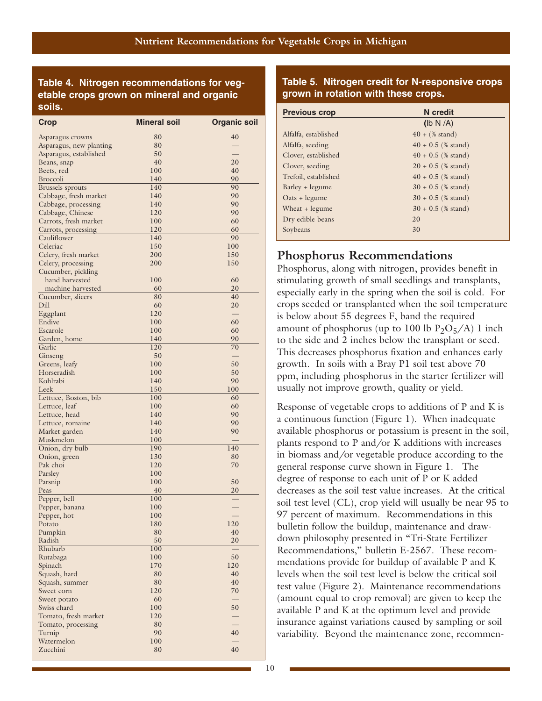## **Table 4. Nitrogen recommendations for vegetable crops grown on mineral and organic**

| <b>Crop</b>             | <b>Mineral soil</b> | <b>Organic soil</b>      |
|-------------------------|---------------------|--------------------------|
| Asparagus crowns        | 80                  | 40                       |
| Asparagus, new planting | 80                  |                          |
| Asparagus, established  | 50                  |                          |
| Beans, snap             | 40                  | 20                       |
| Beets, red              | 100                 | 40                       |
| <b>Broccoli</b>         | 140                 | 90                       |
| <b>Brussels</b> sprouts | 140                 | 90                       |
| Cabbage, fresh market   | 140                 | 90                       |
| Cabbage, processing     | 140                 | 90                       |
| Cabbage, Chinese        | 120                 | 90                       |
| Carrots, fresh market   | 100                 | 60                       |
| Carrots, processing     | 120                 | 60                       |
| Cauliflower             | 140                 | 90                       |
| Celeriac                | 150                 | 100                      |
| Celery, fresh market    | 200                 | 150                      |
| Celery, processing      | 200                 | 150                      |
| Cucumber, pickling      |                     |                          |
| hand harvested          | 100                 | 60                       |
| machine harvested       | 60                  | 20                       |
| Cucumber, slicers       | 80                  | 40                       |
| Dill                    | 60                  | 20                       |
| Eggplant                | 120                 |                          |
| Endive                  | 100                 | 60                       |
| Escarole                | 100                 | 60                       |
| Garden, home            | 140                 | 90                       |
| Garlic                  | 120                 | 70                       |
| Ginseng                 | 50                  | $\overline{\phantom{0}}$ |
| Greens, leafy           | 100                 | 50                       |
| Horseradish             | 100                 | 50                       |
| Kohlrabi                | 140                 | 90                       |
| Leek                    | 150                 | 100                      |
| Lettuce, Boston, bib    | 100                 | 60                       |
| Lettuce, leaf           | 100                 | 60                       |
| Lettuce, head           | 140                 | 90                       |
| Lettuce, romaine        | 140                 | 90                       |
| Market garden           | 140                 | 90                       |
| Muskmelon               | 100                 |                          |
| Onion, dry bulb         | 190                 | 140                      |
| Onion, green            | 130                 | 80                       |
| Pak choi                | 120                 | 70                       |
| Parsley                 | 100                 |                          |
| Parsnip                 | 100                 | 50                       |
| Peas                    | 40                  | 20                       |
| Pepper, bell            | 100                 |                          |
| Pepper, banana          | 100                 |                          |
| Pepper, hot             | 100                 |                          |
| Potato                  | 180                 | 120                      |
| Pumpkin                 | 80                  | 40                       |
| Radish                  | 50                  | 20                       |
| Rhubarb                 | 100                 |                          |
| Rutabaga                | 100                 | 50                       |
| Spinach                 | 170                 | 120                      |
| Squash, hard            | 80                  | 40                       |
| Squash, summer          | 80                  | 40                       |
| Sweet corn              | 120                 | 70                       |
| Sweet potato            | 60                  |                          |
| Swiss chard             | 100                 | 50                       |
| Tomato, fresh market    | 120                 |                          |
| Tomato, processing      | 80                  |                          |
| Turnip                  | 90                  | 40                       |
| Watermelon              | 100                 |                          |
| Zucchini                | 80                  | 40                       |
|                         |                     |                          |

#### **Table 5. Nitrogen credit for N-responsive crops grown in rotation with these crops.**

| soils.                  |                     |                     | <b>Previous crop</b> | N credit                  |
|-------------------------|---------------------|---------------------|----------------------|---------------------------|
| <b>Crop</b>             | <b>Mineral soil</b> | <b>Organic soil</b> |                      | (Ib N/A)                  |
| Asparagus crowns        | 80                  | 40                  | Alfalfa, established | $40 + (\% \text{ stand})$ |
| Asparagus, new planting | 80                  |                     | Alfalfa, seeding     | $40 + 0.5$ (% stand)      |
| Asparagus, established  | 50                  |                     | Clover, established  | $40 + 0.5$ (% stand)      |
| Beans, snap             | 40                  | 20                  | Clover, seeding      | $20 + 0.5$ (% stand)      |
| Beets, red              | 100                 | 40                  |                      |                           |
| <b>Broccoli</b>         | 140                 | 90                  | Trefoil, established | $40 + 0.5$ (% stand)      |
| <b>Brussels</b> sprouts | 140                 | 90                  | Barley + legume      | $30 + 0.5$ (% stand)      |
| Cabbage, fresh market   | 140                 | 90                  | $Oats + legume$      | $30 + 0.5$ (% stand)      |
| Cabbage, processing     | 140                 | 90                  |                      |                           |
| Cabbage, Chinese        | 120                 | 90                  | Wheat $+$ legume     | $30 + 0.5$ (% stand)      |
| Carrots, fresh market   | 100                 | 60                  | Dry edible beans     | 20                        |
| Carrots, processing     | 120                 | 60                  | Soybeans             | 30                        |
| $C$ auliflower          | 140                 | $\Omega$            |                      |                           |

## **Phosphorus Recommendations**

Phosphorus, along with nitrogen, provides benefit in stimulating growth of small seedlings and transplants, especially early in the spring when the soil is cold. For crops seeded or transplanted when the soil temperature is below about 55 degrees F, band the required amount of phosphorus (up to 100 lb  $P_2O_5/A$ ) 1 inch to the side and 2 inches below the transplant or seed. This decreases phosphorus fixation and enhances early growth. In soils with a Bray P1 soil test above 70 ppm, including phosphorus in the starter fertilizer will usually not improve growth, quality or yield.

Response of vegetable crops to additions of P and K is a continuous function (Figure 1). When inadequate available phosphorus or potassium is present in the soil, plants respond to P and/or K additions with increases in biomass and/or vegetable produce according to the general response curve shown in Figure 1. The degree of response to each unit of P or K added decreases as the soil test value increases. At the critical soil test level (CL), crop yield will usually be near 95 to 97 percent of maximum. Recommendations in this bulletin follow the buildup, maintenance and drawdown philosophy presented in "Tri-State Fertilizer Recommendations," bulletin E-2567. These recommendations provide for buildup of available P and K levels when the soil test level is below the critical soil test value (Figure 2). Maintenance recommendations (amount equal to crop removal) are given to keep the available P and K at the optimum level and provide insurance against variations caused by sampling or soil variability. Beyond the maintenance zone, recommen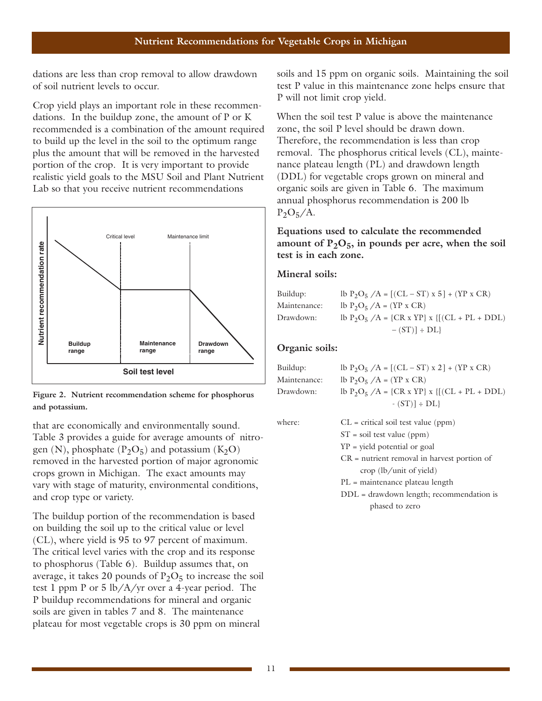dations are less than crop removal to allow drawdown of soil nutrient levels to occur.

Crop yield plays an important role in these recommendations. In the buildup zone, the amount of P or K recommended is a combination of the amount required to build up the level in the soil to the optimum range plus the amount that will be removed in the harvested portion of the crop. It is very important to provide realistic yield goals to the MSU Soil and Plant Nutrient Lab so that you receive nutrient recommendations an crop removal to allow<br>wels to occur.<br>In important role in these<br>uildup zone, the amount<br>a combination of the amount<br>wel in the soil to the opti<br>hat will be removed in tl<br>pp. It is very important t<br>s to the MSU Soil and



**Figure 2. Nutrient recommendation scheme for phosphorus and potassium.**

that are economically and environmentally sound. Table 3 provides a guide for average amounts of nitrogen (N), phosphate  $(P_2O_5)$  and potassium  $(K_2O)$ removed in the harvested portion of major agronomic crops grown in Michigan. The exact amounts may vary with stage of maturity, environmental conditions, and crop type or variety.

The buildup portion of the recommendation is based on building the soil up to the critical value or level (CL), where yield is 95 to 97 percent of maximum. The critical level varies with the crop and its response to phosphorus (Table 6). Buildup assumes that, on average, it takes 20 pounds of  $P_2O_5$  to increase the soil test 1 ppm P or 5 lb/A/yr over a 4-year period. The P buildup recommendations for mineral and organic soils are given in tables 7 and 8. The maintenance plateau for most vegetable crops is 30 ppm on mineral

soils and 15 ppm on organic soils. Maintaining the soil test P value in this maintenance zone helps ensure that P will not limit crop yield.

When the soil test P value is above the maintenance zone, the soil P level should be drawn down. Therefore, the recommendation is less than crop removal. The phosphorus critical levels (CL), maintenance plateau length (PL) and drawdown length (DDL) for vegetable crops grown on mineral and organic soils are given in Table 6. The maximum annual phosphorus recommendation is 200 lb  $P_2O_5/A$ .

#### **Equations used to calculate the recommended** amount of  $P_2O_5$ , in pounds per acre, when the soil **test is in each zone.**

#### **Mineral soils:**

| Buildup:     | lb $P_2O_5$ /A = [(CL – ST) x 5] + (YP x CR)   |
|--------------|------------------------------------------------|
| Maintenance: | lb $P_2O_5/A = (YP \times CR)$                 |
| Drawdown:    | lb $P_2O_5$ /A = {CR x YP} x {[(CL + PL + DDL) |
|              | $-(ST)] \div DL$                               |

#### **Organic soils:**

| Buildup:     | lb $P_2O_5/A = [(CL - ST) \times 2] + (YP \times CR)$ |
|--------------|-------------------------------------------------------|
| Maintenance: | lb $P_2O_5/A = (YP \times CR)$                        |
| Drawdown:    | lb $P_2O_5$ /A = {CR x YP} x {[(CL + PL + DDL)        |
|              | $-S(T)] \div DL$                                      |

where:  $CL = critical soil test value (ppm)$ 

- $ST = soil test value (ppm)$ YP = yield potential or goal CR = nutrient removal in harvest portion of crop (lb/unit of yield) PL = maintenance plateau length
- DDL = drawdown length; recommendation is phased to zero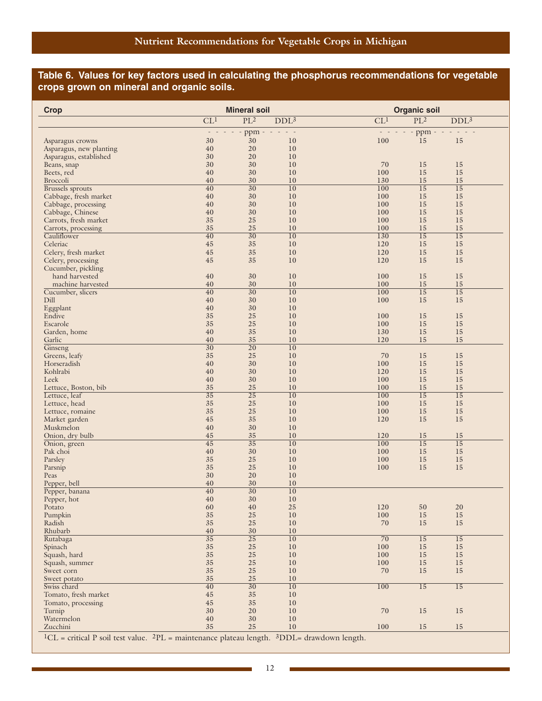## **Table 6. Values for key factors used in calculating the phosphorus recommendations for vegetable crops grown on mineral and organic soils.**

| <b>Crop</b>                                |                          | <b>Mineral soil</b>   |                  |                 | <b>Organic soil</b>   |                       |  |
|--------------------------------------------|--------------------------|-----------------------|------------------|-----------------|-----------------------|-----------------------|--|
|                                            | CL <sup>1</sup>          | PL <sup>2</sup>       | DDL <sup>3</sup> | CL <sup>1</sup> | PL <sup>2</sup>       | DDL <sup>3</sup>      |  |
|                                            | $\overline{\phantom{a}}$ | ppm                   |                  |                 | ppm -                 |                       |  |
| Asparagus crowns                           | 30                       | 30                    | 10               | 100             | 15                    | 15                    |  |
| Asparagus, new planting                    | 40                       | 20                    | 10               |                 |                       |                       |  |
| Asparagus, established                     | 30                       | 20                    | 10               |                 |                       |                       |  |
| Beans, snap                                | 30<br>40                 | 30<br>30              | 10<br>10         | 70<br>100       | 15<br>15              | 15<br>15              |  |
| Beets, red<br><b>Broccoli</b>              | 40                       | 30                    | 10               | 130             | 15                    | 15                    |  |
| <b>Brussels</b> sprouts                    | $\overline{40}$          | $\overline{30}$       | 10               | 100             | $\overline{15}$       | $\overline{15}$       |  |
| Cabbage, fresh market                      | 40                       | 30                    | 10               | 100             | 15                    | 15                    |  |
| Cabbage, processing                        | 40                       | 30                    | 10               | 100             | 15                    | 15                    |  |
| Cabbage, Chinese                           | 40                       | 30                    | 10               | 100             | 15                    | 15                    |  |
| Carrots, fresh market                      | 35                       | 25                    | 10               | 100             | 15                    | 15                    |  |
| Carrots, processing                        | 35                       | 25                    | 10               | 100             | 15                    | 15                    |  |
| Cauliflower                                | $\overline{40}$          | $\overline{30}$       | 10               | 130             | $\overline{15}$       | $\overline{15}$       |  |
| Celeriac                                   | 45                       | 35<br>35              | 10               | 120             | 15<br>15              | 15                    |  |
| Celery, fresh market<br>Celery, processing | 45<br>45                 | 35                    | 10<br>10         | 120<br>120      | 15                    | 15<br>15              |  |
| Cucumber, pickling                         |                          |                       |                  |                 |                       |                       |  |
| hand harvested                             | 40                       | 30                    | 10               | 100             | 15                    | 15                    |  |
| machine harvested                          | 40                       | 30                    | 10               | 100             | 15                    | 15                    |  |
| Cucumber, slicers                          | $\overline{40}$          | $\overline{30}$       | 10               | 100             | $\overline{15}$       | $\overline{15}$       |  |
| Dill                                       | 40                       | 30                    | 10               | 100             | 15                    | 15                    |  |
| Eggplant                                   | 40                       | 30                    | 10               |                 |                       |                       |  |
| Endive                                     | 35                       | 25                    | 10               | 100             | 15                    | 15                    |  |
| Escarole                                   | 35                       | 25                    | 10               | 100             | 15                    | 15                    |  |
| Garden, home                               | 40                       | 35                    | 10               | 130             | 15                    | 15                    |  |
| Garlic                                     | 40                       | 35                    | 10               | 120             | 15                    | 15                    |  |
| Ginseng                                    | $\overline{30}$<br>35    | $\overline{20}$<br>25 | 10<br>10         | 70              | 15                    | 15                    |  |
| Greens, leafy<br>Horseradish               | 40                       | 30                    | 10               | 100             | 15                    | 15                    |  |
| Kohlrabi                                   | 40                       | 30                    | 10               | 120             | 15                    | 15                    |  |
| Leek                                       | 40                       | 30                    | 10               | 100             | 15                    | 15                    |  |
| Lettuce, Boston, bib                       | 35                       | 25                    | 10               | 100             | 15                    | 15                    |  |
| Lettuce, leaf                              | $\overline{35}$          | $\overline{25}$       | 10               | 100             | $\overline{15}$       | $\overline{15}$       |  |
| Lettuce, head                              | 35                       | 25                    | 10               | 100             | 15                    | 15                    |  |
| Lettuce, romaine                           | 35                       | 25                    | 10               | 100             | 15                    | 15                    |  |
| Market garden                              | 45                       | 35                    | 10               | 120             | 15                    | 15                    |  |
| Muskmelon                                  | 40                       | 30                    | 10               |                 |                       |                       |  |
| Onion, dry bulb<br>Onion, green            | 45<br>$\overline{45}$    | 35<br>$\overline{35}$ | 10<br>10         | 120<br>100      | 15<br>$\overline{15}$ | 15<br>$\overline{15}$ |  |
| Pak choi                                   | 40                       | 30                    | 10               | 100             | 15                    | 15                    |  |
| Parsley                                    | 35                       | 25                    | 10               | 100             | 15                    | 15                    |  |
| Parsnip                                    | 35                       | 25                    | 10               | 100             | 15                    | 15                    |  |
| Peas                                       | 30                       | 20                    | 10               |                 |                       |                       |  |
| Pepper, bell                               | 40                       | 30                    | 10               |                 |                       |                       |  |
| Pepper, banana                             | 40                       | $\overline{30}$       | $\overline{10}$  |                 |                       |                       |  |
| Pepper, hot                                | 40                       | 30                    | 10               |                 |                       |                       |  |
| Potato                                     | 60                       | 40                    | 25               | 120             | 50                    | 20                    |  |
| Pumpkin                                    | 35                       | 25                    | 10               | 100             | 15                    | 15                    |  |
| Radish<br>Rhubarb                          | 35<br>40                 | $25\,$<br>30          | $10\,$<br>10     | 70              | 15                    | 15                    |  |
| Rutabaga                                   | $\overline{35}$          | $\overline{25}$       | 10               | $\overline{70}$ | 15                    | $\overline{15}$       |  |
| Spinach                                    | 35                       | $25\,$                | 10               | 100             | 15                    | 15                    |  |
| Squash, hard                               | $35\,$                   | 25                    | 10               | 100             | 15                    | 15                    |  |
| Squash, summer                             | 35                       | 25                    | 10               | 100             | 15                    | 15                    |  |
| Sweet corn                                 | 35                       | $25\,$                | 10               | 70              | 15                    | 15                    |  |
| Sweet potato                               | 35                       | 25                    | 10               |                 |                       |                       |  |
| Swiss chard                                | $\overline{40}$          | $\overline{30}$       | 10               | 100             | 15                    | 15                    |  |
| Tomato, fresh market                       | 45                       | 35                    | 10               |                 |                       |                       |  |
| Tomato, processing                         | 45                       | 35                    | 10               |                 |                       |                       |  |
| Turnip                                     | 30                       | 20                    | 10               | 70              | 15                    | 15                    |  |
| Watermelon<br>Zucchini                     | 40<br>35                 | 30<br>25              | $10\,$<br>$10\,$ | 100             | 15                    | 15                    |  |
|                                            |                          |                       |                  |                 |                       |                       |  |

 ${}^{1}CL$  = critical P soil test value.  ${}^{2}PL$  = maintenance plateau length.  ${}^{3}DDL$ = drawdown length.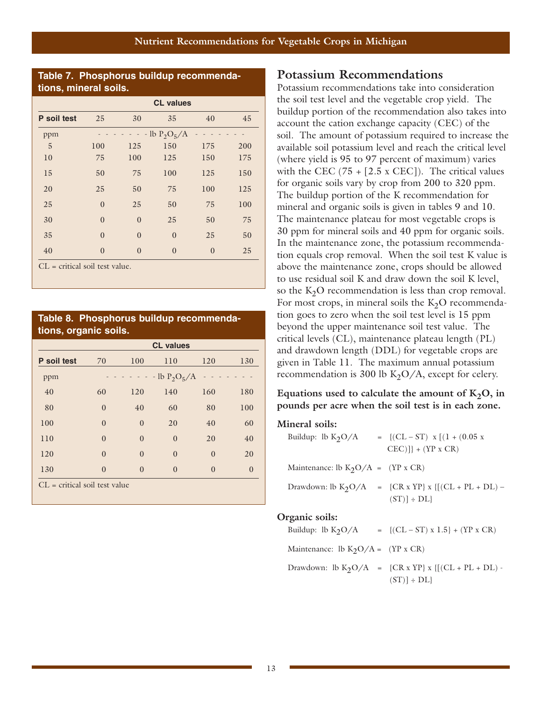#### **Table 7. Phosphorus buildup recommendations, mineral soils.**

|             | <b>CL values</b> |                |                |          |     |
|-------------|------------------|----------------|----------------|----------|-----|
| P soil test | 25               | 30             | 35             | 40       | 45  |
| ppm         |                  |                | $-lb P_2O_5/A$ |          |     |
| 5           | 100              | 125            | 150            | 175      | 200 |
| 10          | 75               | 100            | 125            | 150      | 175 |
| 15          | 50               | 75             | 100            | 125      | 150 |
| 20          | 25               | 50             | 75             | 100      | 125 |
| 25          | $\overline{0}$   | 25             | 50             | 75       | 100 |
| 30          | $\theta$         | $\overline{0}$ | 25             | 50       | 75  |
| 35          | $\theta$         | $\overline{0}$ | $\theta$       | 25       | 50  |
| 40          | $\theta$         | $\theta$       | $\theta$       | $\theta$ | 25  |

 $CL = critical soil test value.$ 

#### **Table 8. Phosphorus buildup recommendations, organic soils.**

|                                 |          |          | <b>CL</b> values    |          |          |
|---------------------------------|----------|----------|---------------------|----------|----------|
| P soil test                     | 70       | 100      | 110                 | 120      | 130      |
| ppm                             |          |          | $- -$ lb $P_2O_5/A$ |          |          |
| 40                              | 60       | 120      | 140                 | 160      | 180      |
| 80                              | $\theta$ | 40       | 60                  | 80       | 100      |
| 100                             | $\theta$ | $\theta$ | 20                  | 40       | 60       |
| 110                             | $\theta$ | $\theta$ | $\theta$            | 20       | 40       |
| 120                             | $\theta$ | $\Omega$ | $\theta$            | $\theta$ | 20       |
| 130                             | $\theta$ | $\Omega$ | $\theta$            | $\theta$ | $\Omega$ |
| $CL = critical soil test value$ |          |          |                     |          |          |

#### **Potassium Recommendations**

Potassium recommendations take into consideration the soil test level and the vegetable crop yield. The buildup portion of the recommendation also takes into account the cation exchange capacity (CEC) of the soil. The amount of potassium required to increase the available soil potassium level and reach the critical level (where yield is 95 to 97 percent of maximum) varies with the CEC  $(75 + [2.5 \times CEC])$ . The critical values for organic soils vary by crop from 200 to 320 ppm. The buildup portion of the K recommendation for mineral and organic soils is given in tables 9 and 10. The maintenance plateau for most vegetable crops is 30 ppm for mineral soils and 40 ppm for organic soils. In the maintenance zone, the potassium recommendation equals crop removal. When the soil test K value is above the maintenance zone, crops should be allowed to use residual soil K and draw down the soil K level, so the  $K<sub>2</sub>O$  recommendation is less than crop removal. For most crops, in mineral soils the  $K_2O$  recommendation goes to zero when the soil test level is 15 ppm beyond the upper maintenance soil test value. The critical levels (CL), maintenance plateau length (PL) and drawdown length (DDL) for vegetable crops are given in Table 11. The maximum annual potassium recommendation is 300 lb  $K_2O/A$ , except for celery.

Equations used to calculate the amount of  $K_2O$ , in **pounds per acre when the soil test is in each zone.** 

#### **Mineral soils:**

| Buildup: lb $K_2O/A$                      | $= \{ (CL - ST) \times [(1 + (0.05) \times )] \}$<br>$CEC$ ]] + (YP x CR)              |
|-------------------------------------------|----------------------------------------------------------------------------------------|
| Maintenance: lb $K_2O/A = (YP \times CR)$ |                                                                                        |
|                                           | Drawdown: lb K <sub>2</sub> O/A = {CR x YP} x { $[(CL + PL + DL)$ -<br>$(ST)$ = $DL$ } |
| Organic soils:<br>Buildup: lb $K_2O/A$    | $= \{ (CL - ST) x 1.5 \} + (YP x CR)$                                                  |

| Maintenance: lb $K_2O/A = (YP \times CR)$ |                                                                       |
|-------------------------------------------|-----------------------------------------------------------------------|
|                                           | Drawdown: lb $K_2O/A$ = $\{CR \times YP\} \times \{[(CL + PL + DL) -$ |
|                                           | $(ST)] \div DL$                                                       |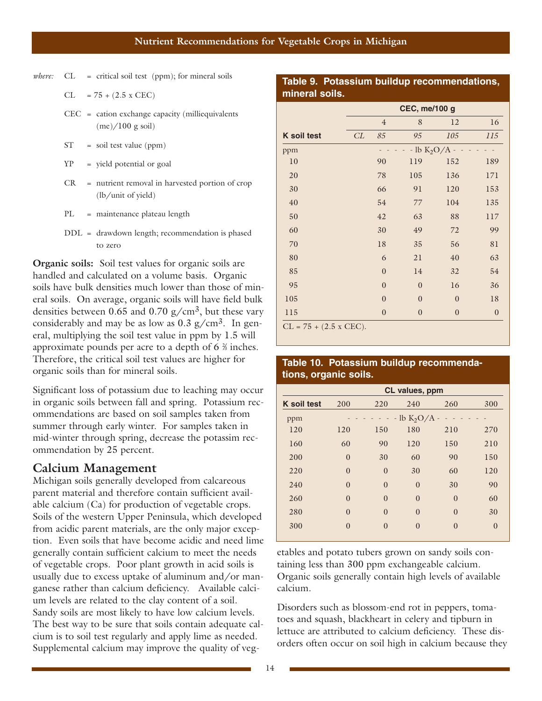*where*: CL = critical soil test (ppm); for mineral soils

$$
CL = 75 + (2.5 \times CEC)
$$

- CEC = cation exchange capacity (milliequivalents  $(me)/100$  g soil)
- ST = soil test value (ppm)
- YP = yield potential or goal
- CR = nutrient removal in harvested portion of crop (lb/unit of yield)
- PL = maintenance plateau length
- DDL = drawdown length; recommendation is phased to zero

**Organic soils:** Soil test values for organic soils are handled and calculated on a volume basis. Organic soils have bulk densities much lower than those of mineral soils. On average, organic soils will have field bulk densities between 0.65 and 0.70  $g/cm^3$ , but these vary considerably and may be as low as  $0.3$  g/cm<sup>3</sup>. In general, multiplying the soil test value in ppm by 1.5 will approximate pounds per acre to a depth of  $6\frac{2}{3}$  inches. Therefore, the critical soil test values are higher for organic soils than for mineral soils.

Significant loss of potassium due to leaching may occur in organic soils between fall and spring. Potassium recommendations are based on soil samples taken from summer through early winter. For samples taken in mid-winter through spring, decrease the potassim recommendation by 25 percent.

#### **Calcium Management**

Michigan soils generally developed from calcareous parent material and therefore contain sufficient available calcium (Ca) for production of vegetable crops. Soils of the western Upper Peninsula, which developed from acidic parent materials, are the only major exception. Even soils that have become acidic and need lime generally contain sufficient calcium to meet the needs of vegetable crops. Poor plant growth in acid soils is usually due to excess uptake of aluminum and/or manganese rather than calcium deficiency. Available calcium levels are related to the clay content of a soil. Sandy soils are most likely to have low calcium levels. The best way to be sure that soils contain adequate calcium is to soil test regularly and apply lime as needed. Supplemental calcium may improve the quality of veg-

#### **Table 9. Potassium buildup recommendations, mineral soils.**

|                               | <b>CEC, me/100 g</b> |                |                               |                  |                  |
|-------------------------------|----------------------|----------------|-------------------------------|------------------|------------------|
|                               |                      | $\overline{4}$ | 8                             | 12               | 16               |
| <b>K</b> soil test            | CL                   | 85             | 95                            | 105              | 115              |
| ppm                           |                      |                | $-$ lb K <sub>2</sub> O/A $-$ |                  |                  |
| 10                            |                      | 90             | 119                           | 152              | 189              |
| 20                            |                      | 78             | 105                           | 136              | 171              |
| 30                            |                      | 66             | 91                            | 120              | 153              |
| 40                            |                      | 54             | 77                            | 104              | 135              |
| 50                            |                      | 42             | 63                            | 88               | 117              |
| 60                            |                      | 30             | 49                            | 72               | 99               |
| 70                            |                      | 18             | 35                            | 56               | 81               |
| 80                            |                      | 6              | 21                            | 40               | 63               |
| 85                            |                      | $\theta$       | 14                            | 32               | 54               |
| 95                            |                      | $\overline{0}$ | $\mathbf{0}$                  | 16               | 36               |
| 105                           |                      | $\overline{0}$ | $\boldsymbol{0}$              | $\boldsymbol{0}$ | 18               |
| 115                           |                      | $\overline{0}$ | $\overline{0}$                | $\overline{0}$   | $\boldsymbol{0}$ |
| $CL = 75 + (2.5 \times CEC).$ |                      |                |                               |                  |                  |

#### **Table 10. Potassium buildup recommendations, organic soils.**

|                    |          |               | CL values, ppm |                |          |
|--------------------|----------|---------------|----------------|----------------|----------|
| <b>K</b> soil test | 200      | 220           | 240            | 260            | 300      |
| ppm                |          | $\frac{1}{2}$ | $-lb K2O/A$    | $\overline{a}$ |          |
| 120                | 120      | 150           | 180            | 210            | 270      |
| 160                | 60       | 90            | 120            | 150            | 210      |
| 200                | $\theta$ | 30            | 60             | 90             | 150      |
| 220                | $\theta$ | $\theta$      | 30             | 60             | 120      |
| 240                | $\theta$ | $\Omega$      | $\Omega$       | 30             | 90       |
| 260                | $\theta$ | $\Omega$      | $\Omega$       | $\theta$       | 60       |
| 280                | $\theta$ | $\Omega$      | $\theta$       | $\theta$       | 30       |
|                    |          |               |                |                |          |
| 300                | $\theta$ | $\Omega$      | $\Omega$       | $\theta$       | $\Omega$ |

etables and potato tubers grown on sandy soils containing less than 300 ppm exchangeable calcium. Organic soils generally contain high levels of available calcium.

Disorders such as blossom-end rot in peppers, tomatoes and squash, blackheart in celery and tipburn in lettuce are attributed to calcium deficiency. These disorders often occur on soil high in calcium because they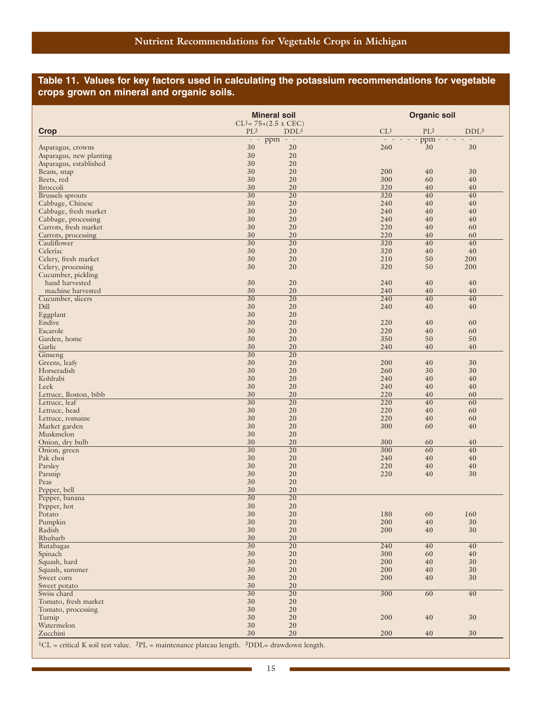#### **Table 11. Values for key factors used in calculating the potassium recommendations for vegetable crops grown on mineral and organic soils.**

|                                              |                                                                                   | <b>Mineral soil</b>                        |                 | <b>Organic soil</b> |                  |
|----------------------------------------------|-----------------------------------------------------------------------------------|--------------------------------------------|-----------------|---------------------|------------------|
| <b>Crop</b>                                  | $PL^2$                                                                            | $CL1 = 75+(2.5 x CEC)$<br>DDL <sup>3</sup> | CL <sup>1</sup> | $PL^2$              | DDL <sup>3</sup> |
|                                              | $\frac{1}{2} \left( \frac{1}{2} \right) = \frac{1}{2} \left( \frac{1}{2} \right)$ | $ppm -$                                    |                 | - ppm               |                  |
| Asparagus, crowns<br>Asparagus, new planting | 30<br>30                                                                          | 20<br>20                                   | 260             | 30                  | 30               |
| Asparagus, established                       | 30                                                                                | 20                                         |                 |                     |                  |
| Beans, snap                                  | 30                                                                                | 20                                         | 200             | 40                  | 30               |
| Beets, red                                   | 30                                                                                | 20                                         | 300             | 60                  | 40               |
| <b>Broccoli</b><br><b>Brussels</b> sprouts   | 30<br>$\overline{30}$                                                             | 20<br>20                                   | 320<br>320      | 40<br>40            | 40<br>40         |
| Cabbage, Chinese                             | 30                                                                                | 20                                         | 240             | 40                  | 40               |
| Cabbage, fresh market                        | 30                                                                                | 20                                         | 240             | 40                  | 40               |
| Cabbage, processing                          | 30                                                                                | 20                                         | 240             | 40                  | 40               |
| Carrots, fresh market                        | 30<br>30                                                                          | 20<br>20                                   | 220<br>220      | 40<br>40            | 60<br>60         |
| Carrots, processing<br>Cauliflower           | $\overline{30}$                                                                   | 20                                         | 320             | 40                  | 40               |
| Celeriac                                     | 30                                                                                | 20                                         | 320             | 40                  | 40               |
| Celery, fresh market                         | 30                                                                                | 20                                         | 210             | 50                  | 200              |
| Celery, processing                           | 30                                                                                | 20                                         | 320             | 50                  | 200              |
| Cucumber, pickling<br>hand harvested         | 30                                                                                | 20                                         | 240             | 40                  | 40               |
| machine harvested                            | 30                                                                                | 20                                         | 240             | 40                  | 40               |
| Cucumber, slicers                            | $\overline{30}$                                                                   | 20                                         | 240             | 40                  | 40               |
| Dill                                         | 30                                                                                | 20                                         | 240             | 40                  | 40               |
| Eggplant                                     | 30                                                                                | 20                                         |                 |                     |                  |
| Endive<br>Escarole                           | 30<br>30                                                                          | 20<br>20                                   | 220<br>220      | 40<br>40            | 60<br>60         |
| Garden, home                                 | 30                                                                                | 20                                         | 350             | 50                  | 50               |
| Garlic                                       | 30                                                                                | 20                                         | 240             | 40                  | 40               |
| Ginseng                                      | $\overline{30}$                                                                   | 20                                         |                 |                     |                  |
| Greens, leafy                                | 30                                                                                | 20                                         | 200             | 40                  | 30               |
| Horseradish<br>Kohlrabi                      | 30<br>30                                                                          | 20<br>20                                   | 260<br>240      | 30<br>40            | 30<br>40         |
| Leek                                         | 30                                                                                | 20                                         | 240             | 40                  | 40               |
| Lettuce, Boston, bibb                        | 30                                                                                | 20                                         | 220             | 40                  | 60               |
| Lettuce, leaf                                | $\overline{30}$                                                                   | 20                                         | 220             | 40                  | 60               |
| Lettuce, head                                | 30                                                                                | 20                                         | 220             | 40                  | 60               |
| Lettuce, romaine<br>Market garden            | 30<br>30                                                                          | 20<br>20                                   | 220<br>300      | 40<br>60            | 60<br>40         |
| Muskmelon                                    | 30                                                                                | 20                                         |                 |                     |                  |
| Onion, dry bulb                              | 30                                                                                | 20                                         | 300             | 60                  | 40               |
| Onion, green                                 | $\overline{30}$                                                                   | 20                                         | 300             | 60                  | 40               |
| Pak choi                                     | 30                                                                                | 20                                         | 240             | 40                  | 40               |
| Parsley<br>Parsnip                           | 30<br>30                                                                          | 20<br>20                                   | 220<br>220      | 40<br>40            | 40<br>30         |
| Peas                                         | 30                                                                                | 20                                         |                 |                     |                  |
| Pepper, bell                                 | 30                                                                                | 20                                         |                 |                     |                  |
| Pepper, banana                               | $\overline{30}$                                                                   | $\overline{20}$                            |                 |                     |                  |
| Pepper, hot<br>Potato                        | $30\,$<br>30                                                                      | $20\,$<br>$20\,$                           | 180             | 60                  | 160              |
| Pumpkin                                      | 30                                                                                | $20\,$                                     | 200             | 40                  | $30\,$           |
| Radish                                       | $30\,$                                                                            | $20\,$                                     | 200             | 40                  | 30               |
| Rhubarb                                      | $30\,$                                                                            | 20                                         |                 |                     |                  |
| Rutabagas                                    | $\overline{30}$                                                                   | $\overline{20}$                            | 240             | 40                  | 40               |
| Spinach                                      | 30<br>30                                                                          | 20<br>20                                   | 300<br>200      | 60<br>40            | 40<br>30         |
| Squash, hard<br>Squash, summer               | 30                                                                                | 20                                         | 200             | 40                  | 30               |
| Sweet corn                                   | $30\,$                                                                            | $20\,$                                     | 200             | 40                  | 30               |
| Sweet potato                                 | 30                                                                                | 20                                         |                 |                     |                  |
| Swiss chard                                  | $\overline{30}$                                                                   | $\overline{20}$                            | 300             | 60                  | 40               |
| Tomato, fresh market<br>Tomato, processing   | 30<br>30                                                                          | 20<br>20                                   |                 |                     |                  |
| Turnip                                       | 30                                                                                | 20                                         | 200             | $40\,$              | 30               |
| Watermelon                                   | 30                                                                                | $20\,$                                     |                 |                     |                  |
| Zucchini                                     | $30\,$                                                                            | 20                                         | 200             | 40                  | 30               |

 ${}^{1}CL$  = critical K soil test value.  ${}^{2}PL$  = maintenance plateau length.  ${}^{3}DDL$  = drawdown length.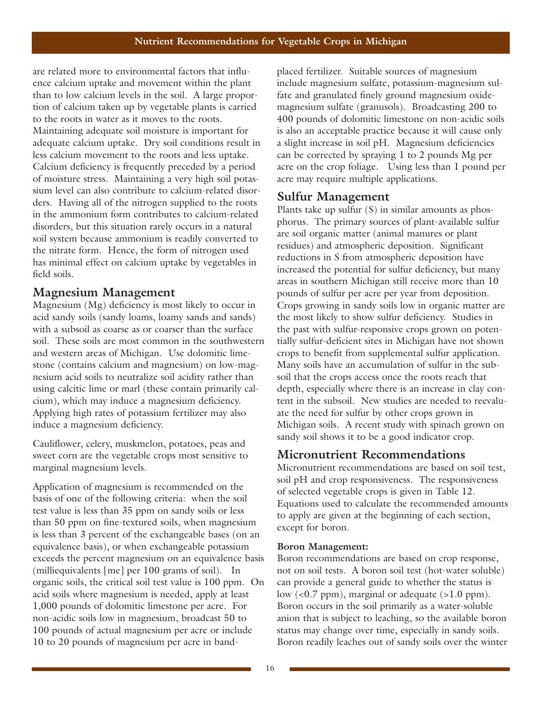are related more to environmental factors that influence calcium uptake and movement within the plant than to low calcium levels in the soil. A large proportion of calcium taken up by vegetable plants is carried to the roots in water as it moves to the roots. Maintaining adequate soil moisture is important for adequate calcium uptake. Dry soil conditions result in less calcium movement to the roots and less uptake. Calcium deficiency is frequently preceded by a period of moisture stress. Maintaining a very high soil potassium level can also contribute to calcium-related disorders. Having all of the nitrogen supplied to the roots in the ammonium form contributes to calcium-related disorders, but this situation rarely occurs in a natural soil system because ammonium is readily converted to the nitrate form. Hence, the form of nitrogen used has minimal effect on calcium uptake by vegetables in field soils.

## **Magnesium Management**

Magnesium (Mg) deficiency is most likely to occur in acid sandy soils (sandy loams, loamy sands and sands) with a subsoil as coarse as or coarser than the surface soil. These soils are most common in the southwestern and western areas of Michigan. Use dolomitic limestone (contains calcium and magnesium) on low-magnesium acid soils to neutralize soil acidity rather than using calcitic lime or marl (these contain primarily calcium), which may induce a magnesium deficiency. Applying high rates of potassium fertilizer may also induce a magnesium deficiency.

Cauliflower, celery, muskmelon, potatoes, peas and sweet corn are the vegetable crops most sensitive to marginal magnesium levels.

Application of magnesium is recommended on the basis of one of the following criteria: when the soil test value is less than 35 ppm on sandy soils or less than 50 ppm on fine-textured soils, when magnesium is less than 3 percent of the exchangeable bases (on an equivalence basis), or when exchangeable potassium exceeds the percent magnesium on an equivalence basis (milliequivalents [me] per 100 grams of soil). In organic soils, the critical soil test value is 100 ppm. On acid soils where magnesium is needed, apply at least 1,000 pounds of dolomitic limestone per acre. For non-acidic soils low in magnesium, broadcast 50 to 100 pounds of actual magnesium per acre or include 10 to 20 pounds of magnesium per acre in bandplaced fertilizer. Suitable sources of magnesium include magnesium sulfate, potassium-magnesium sulfate and granulated finely ground magnesium oxidemagnesium sulfate (granusols). Broadcasting 200 to 400 pounds of dolomitic limestone on non-acidic soils is also an acceptable practice because it will cause only a slight increase in soil pH. Magnesium deficiencies can be corrected by spraying 1 to 2 pounds Mg per acre on the crop foliage. Using less than 1 pound per acre may require multiple applications.

## **Sulfur Management**

Plants take up sulfur (S) in similar amounts as phosphorus. The primary sources of plant-available sulfur are soil organic matter (animal manures or plant residues) and atmospheric deposition. Significant reductions in S from atmospheric deposition have increased the potential for sulfur deficiency, but many areas in southern Michigan still receive more than 10 pounds of sulfur per acre per year from deposition. Crops growing in sandy soils low in organic matter are the most likely to show sulfur deficiency. Studies in the past with sulfur-responsive crops grown on potentially sulfur-deficient sites in Michigan have not shown crops to benefit from supplemental sulfur application. Many soils have an accumulation of sulfur in the subsoil that the crops access once the roots reach that depth, especially where there is an increase in clay content in the subsoil. New studies are needed to reevaluate the need for sulfur by other crops grown in Michigan soils. A recent study with spinach grown on sandy soil shows it to be a good indicator crop.

## **Micronutrient Recommendations**

Micronutrient recommendations are based on soil test, soil pH and crop responsiveness. The responsiveness of selected vegetable crops is given in Table 12. Equations used to calculate the recommended amounts to apply are given at the beginning of each section, except for boron.

#### **Boron Management:**

Boron recommendations are based on crop response, not on soil tests. A boron soil test (hot-water soluble) can provide a general guide to whether the status is low (<0.7 ppm), marginal or adequate (>1.0 ppm). Boron occurs in the soil primarily as a water-soluble anion that is subject to leaching, so the available boron status may change over time, especially in sandy soils. Boron readily leaches out of sandy soils over the winter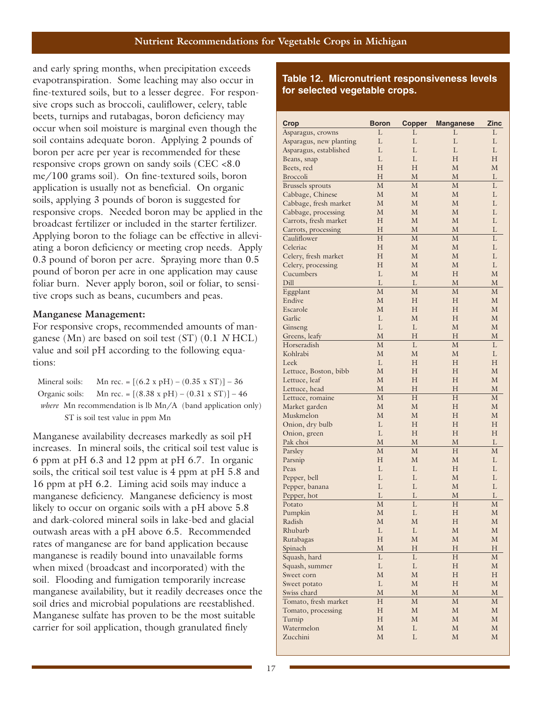and early spring months, when precipitation exceeds evapotranspiration. Some leaching may also occur in fine-textured soils, but to a lesser degree. For responsive crops such as broccoli, cauliflower, celery, table beets, turnips and rutabagas, boron deficiency may occur when soil moisture is marginal even though the soil contains adequate boron. Applying 2 pounds of boron per acre per year is recommended for these responsive crops grown on sandy soils (CEC <8.0 me/100 grams soil). On fine-textured soils, boron application is usually not as beneficial. On organic soils, applying 3 pounds of boron is suggested for responsive crops. Needed boron may be applied in the broadcast fertilizer or included in the starter fertilizer. Applying boron to the foliage can be effective in alleviating a boron deficiency or meeting crop needs. Apply 0.3 pound of boron per acre. Spraying more than 0.5 pound of boron per acre in one application may cause foliar burn. Never apply boron, soil or foliar, to sensitive crops such as beans, cucumbers and peas.

#### **Manganese Management:**

For responsive crops, recommended amounts of manganese (Mn) are based on soil test (ST) (0.1 *N* HCL) value and soil pH according to the following equations:

| Mineral soils: | Mn rec. = $[(6.2 \times pH) - (0.35 \times ST)] - 36$                 |
|----------------|-----------------------------------------------------------------------|
|                | Organic soils: Mn rec. = $[(8.38 \times pH) - (0.31 \times ST)] - 46$ |
|                | where Mn recommendation is lb Mn/A (band application only)            |
|                | ST is soil test value in ppm Mn                                       |

Manganese availability decreases markedly as soil pH increases. In mineral soils, the critical soil test value is 6 ppm at pH 6.3 and 12 ppm at pH 6.7. In organic soils, the critical soil test value is 4 ppm at pH 5.8 and 16 ppm at pH 6.2. Liming acid soils may induce a manganese deficiency. Manganese deficiency is most likely to occur on organic soils with a pH above 5.8 and dark-colored mineral soils in lake-bed and glacial outwash areas with a pH above 6.5. Recommended rates of manganese are for band application because manganese is readily bound into unavailable forms when mixed (broadcast and incorporated) with the soil. Flooding and fumigation temporarily increase manganese availability, but it readily decreases once the soil dries and microbial populations are reestablished. Manganese sulfate has proven to be the most suitable carrier for soil application, though granulated finely

#### **Table 12. Micronutrient responsiveness levels for selected vegetable crops.**

| Crop                    | <b>Boron</b> | <b>Copper</b> | <b>Manganese</b> | Zinc         |
|-------------------------|--------------|---------------|------------------|--------------|
| Asparagus, crowns       | L            | L             | L                | L            |
| Asparagus, new planting | L            | L             | L                | L            |
| Asparagus, established  | L            | L             | L                | L            |
| Beans, snap             | L            | L             | H                | H            |
| Beets, red              | H            | H             | M                | M            |
| <b>Broccoli</b>         | H            | М             | M                | L            |
| <b>Brussels</b> sprouts | M            | M             | M                | L            |
| Cabbage, Chinese        | M            | M             | М                | L            |
| Cabbage, fresh market   | M            | M             | M                | L            |
| Cabbage, processing     | М            | M             | M                | L            |
| Carrots, fresh market   | H            | M             | M                | L            |
| Carrots, processing     | H            | М             | M                | L            |
| Cauliflower             | H            | М             | M                | L            |
| Celeriac                | Н            | M             | М                | L            |
| Celery, fresh market    | H            | M             | M                | L            |
| Celery, processing      | H            | M             | М                | L            |
| Cucumbers               | L            | M             | H                | M            |
| Dill                    | L            | L             | M                | M            |
| Eggplant                | M            | М             | M                | M            |
| Endive                  | M            | Н             | Н                | М            |
| Escarole                | M            | H             | H                | M            |
| Garlic                  | L            | М             | Н                | М            |
| Ginseng                 | L            | L             | M                | М            |
| Greens, leafy           | M            | H             | H                | M            |
| Horseradish             | M            | L             | M                | L            |
| Kohlrabi                | M            | M             | М                | L            |
| Leek                    | L            | Н             | H                | H            |
| Lettuce, Boston, bibb   | М            | Н             | Н                | М            |
| Lettuce, leaf           | M            | H             | H                | M            |
| Lettuce, head           | M            | H             | H                | M            |
| Lettuce, romaine        | M            | H             | H                | M            |
| Market garden           | M            | M             | H                | М            |
| Muskmelon               | M            | M             | H                | М            |
| Onion, dry bulb         | L            | Н             | Н                | Н            |
| Onion, green            | L            | Н             | H                | Н            |
| Pak choi                | M            | М             | M                | L            |
| Parsley                 | М            | М             | H                | M            |
| Parsnip                 | Н            | M             | М                | L            |
| Peas                    | L            | L             | H                | L            |
| Pepper, bell            | L            | L             | M                | L            |
| Pepper, banana          | L            | L             | M                | L            |
| Pepper, hot             | L            | L             | М                | L            |
| Potato                  | M            | L             | H                | M            |
| Pumpkin                 | $\mathbf M$  | L             | H                | $\mathbf{M}$ |
| Radish                  | $\mathbf M$  | $\mathbf M$   | H                | М            |
| Rhubarb                 | $\mathbf L$  | $\mathbf L$   | $\mathbf M$      | $\mathbf M$  |
| Rutabagas               | $H_{\rm}$    | $\mathbf M$   | $\mathbf M$      | $\mathbf M$  |
| Spinach                 | $\mathbf M$  | Η             | H                | Η            |
| Squash, hard            | L            | L             | H                | $\mathbf{M}$ |
| Squash, summer          | L            | L             | H                | $\mathbf M$  |
| Sweet corn              | $\mathbf{M}$ | $\mathbf M$   | H                | $H_{\rm}$    |
| Sweet potato            | L            | $\mathbf M$   | H                | $\mathbf M$  |
| Swiss chard             | $\mathbf M$  | М             | $\mathbf M$      | М            |
| Tomato, fresh market    | $H_{\rm}$    | $\mathbf M$   | М                | $\mathbf M$  |
| Tomato, processing      | $\rm H$      | $\mathbf M$   | $\mathbf M$      | $\mathbf M$  |
| Turnip                  | $H_{\rm}$    | $\mathbf M$   | $\mathbf M$      | $\mathbf M$  |
| Watermelon              | M            | L             | M                | M            |
| Zucchini                | $\mathbf M$  | L             | $\mathbf M$      | $\mathbf M$  |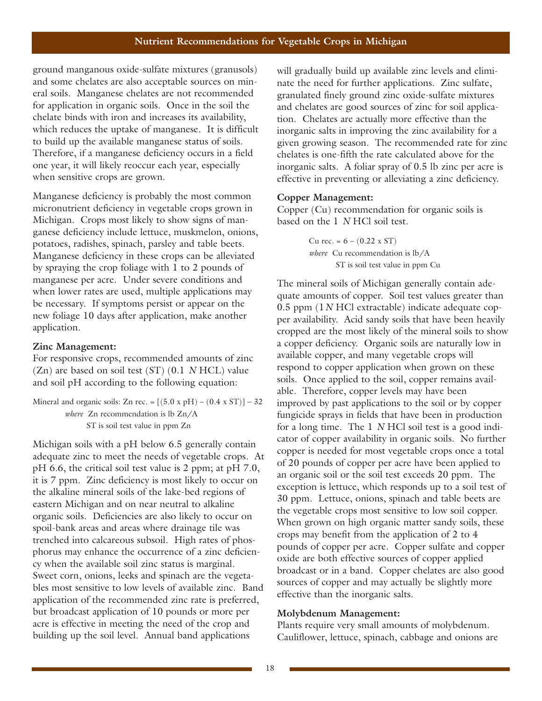ground manganous oxide-sulfate mixtures (granusols) and some chelates are also acceptable sources on mineral soils. Manganese chelates are not recommended for application in organic soils. Once in the soil the chelate binds with iron and increases its availability, which reduces the uptake of manganese. It is difficult to build up the available manganese status of soils. Therefore, if a manganese deficiency occurs in a field one year, it will likely reoccur each year, especially when sensitive crops are grown.

Manganese deficiency is probably the most common micronutrient deficiency in vegetable crops grown in Michigan. Crops most likely to show signs of manganese deficiency include lettuce, muskmelon, onions, potatoes, radishes, spinach, parsley and table beets. Manganese deficiency in these crops can be alleviated by spraying the crop foliage with 1 to 2 pounds of manganese per acre. Under severe conditions and when lower rates are used, multiple applications may be necessary. If symptoms persist or appear on the new foliage 10 days after application, make another application.

#### **Zinc Management:**

For responsive crops, recommended amounts of zinc (Zn) are based on soil test (ST) (0.1 *N* HCL) value and soil pH according to the following equation:

Mineral and organic soils: Zn rec. =  $[(5.0 \times pH) - (0.4 \times ST)] - 32$ *where* Zn recommendation is lb Zn/A ST is soil test value in ppm Zn

Michigan soils with a pH below 6.5 generally contain adequate zinc to meet the needs of vegetable crops. At pH 6.6, the critical soil test value is 2 ppm; at pH 7.0, it is 7 ppm. Zinc deficiency is most likely to occur on the alkaline mineral soils of the lake-bed regions of eastern Michigan and on near neutral to alkaline organic soils. Deficiencies are also likely to occur on spoil-bank areas and areas where drainage tile was trenched into calcareous subsoil. High rates of phosphorus may enhance the occurrence of a zinc deficiency when the available soil zinc status is marginal. Sweet corn, onions, leeks and spinach are the vegetables most sensitive to low levels of available zinc. Band application of the recommended zinc rate is preferred, but broadcast application of 10 pounds or more per acre is effective in meeting the need of the crop and building up the soil level. Annual band applications

will gradually build up available zinc levels and eliminate the need for further applications. Zinc sulfate, granulated finely ground zinc oxide-sulfate mixtures and chelates are good sources of zinc for soil application. Chelates are actually more effective than the inorganic salts in improving the zinc availability for a given growing season. The recommended rate for zinc chelates is one-fifth the rate calculated above for the inorganic salts. A foliar spray of 0.5 lb zinc per acre is effective in preventing or alleviating a zinc deficiency.

#### **Copper Management:**

Copper (Cu) recommendation for organic soils is based on the 1 *N* HCl soil test.

> Cu rec. =  $6 - (0.22 \times ST)$ *where* Cu recommendation is lb/A ST is soil test value in ppm Cu

The mineral soils of Michigan generally contain adequate amounts of copper. Soil test values greater than 0.5 ppm (1*N* HCl extractable) indicate adequate copper availability. Acid sandy soils that have been heavily cropped are the most likely of the mineral soils to show a copper deficiency. Organic soils are naturally low in available copper, and many vegetable crops will respond to copper application when grown on these soils. Once applied to the soil, copper remains available. Therefore, copper levels may have been improved by past applications to the soil or by copper fungicide sprays in fields that have been in production for a long time. The 1 *N* HCl soil test is a good indicator of copper availability in organic soils. No further copper is needed for most vegetable crops once a total of 20 pounds of copper per acre have been applied to an organic soil or the soil test exceeds 20 ppm. The exception is lettuce, which responds up to a soil test of 30 ppm. Lettuce, onions, spinach and table beets are the vegetable crops most sensitive to low soil copper. When grown on high organic matter sandy soils, these crops may benefit from the application of 2 to 4 pounds of copper per acre. Copper sulfate and copper oxide are both effective sources of copper applied broadcast or in a band. Copper chelates are also good sources of copper and may actually be slightly more effective than the inorganic salts.

#### **Molybdenum Management:**

Plants require very small amounts of molybdenum. Cauliflower, lettuce, spinach, cabbage and onions are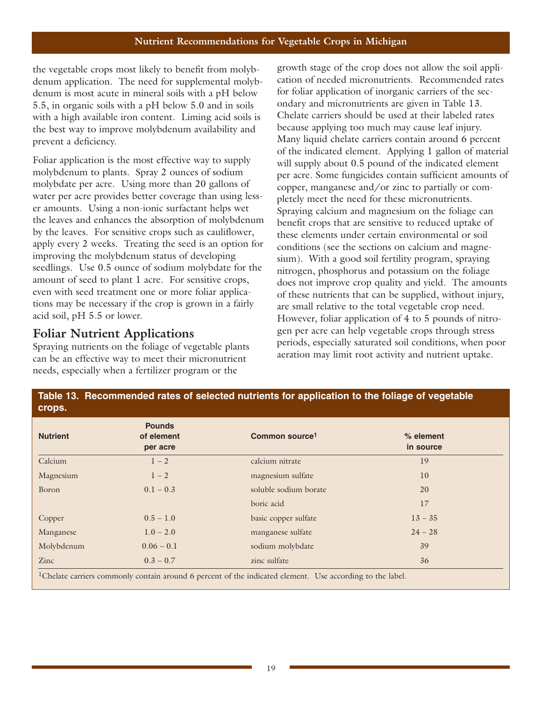the vegetable crops most likely to benefit from molybdenum application. The need for supplemental molybdenum is most acute in mineral soils with a pH below 5.5, in organic soils with a pH below 5.0 and in soils with a high available iron content. Liming acid soils is the best way to improve molybdenum availability and prevent a deficiency.

Foliar application is the most effective way to supply molybdenum to plants. Spray 2 ounces of sodium molybdate per acre. Using more than 20 gallons of water per acre provides better coverage than using lesser amounts. Using a non-ionic surfactant helps wet the leaves and enhances the absorption of molybdenum by the leaves. For sensitive crops such as cauliflower, apply every 2 weeks. Treating the seed is an option for improving the molybdenum status of developing seedlings. Use 0.5 ounce of sodium molybdate for the amount of seed to plant 1 acre. For sensitive crops, even with seed treatment one or more foliar applications may be necessary if the crop is grown in a fairly acid soil, pH 5.5 or lower.

## **Foliar Nutrient Applications**

Spraying nutrients on the foliage of vegetable plants can be an effective way to meet their micronutrient needs, especially when a fertilizer program or the

growth stage of the crop does not allow the soil application of needed micronutrients. Recommended rates for foliar application of inorganic carriers of the secondary and micronutrients are given in Table 13. Chelate carriers should be used at their labeled rates because applying too much may cause leaf injury. Many liquid chelate carriers contain around 6 percent of the indicated element. Applying 1 gallon of material will supply about 0.5 pound of the indicated element per acre. Some fungicides contain sufficient amounts of copper, manganese and/or zinc to partially or completely meet the need for these micronutrients. Spraying calcium and magnesium on the foliage can benefit crops that are sensitive to reduced uptake of these elements under certain environmental or soil conditions (see the sections on calcium and magnesium). With a good soil fertility program, spraying nitrogen, phosphorus and potassium on the foliage does not improve crop quality and yield. The amounts of these nutrients that can be supplied, without injury, are small relative to the total vegetable crop need. However, foliar application of 4 to 5 pounds of nitrogen per acre can help vegetable crops through stress periods, especially saturated soil conditions, when poor aeration may limit root activity and nutrient uptake.

| <b>Nutrient</b> | <b>Pounds</b><br>of element<br>per acre | Common source <sup>1</sup> | $%$ element<br>in source |
|-----------------|-----------------------------------------|----------------------------|--------------------------|
| Calcium         | $1-2$                                   | calcium nitrate            | 19                       |
| Magnesium       | $1 - 2$                                 | magnesium sulfate          | 10 <sup>°</sup>          |
| Boron           | $0.1 - 0.3$                             | soluble sodium borate      | 20                       |
|                 |                                         | boric acid                 | 17                       |
| Copper          | $0.5 - 1.0$                             | basic copper sulfate       | $13 - 35$                |
| Manganese       | $1.0 - 2.0$                             | manganese sulfate          | $24 - 28$                |
| Molybdenum      | $0.06 - 0.1$                            | sodium molybdate           | 39                       |
| Zinc            | $0.3 - 0.7$                             | zinc sulfate               | 36                       |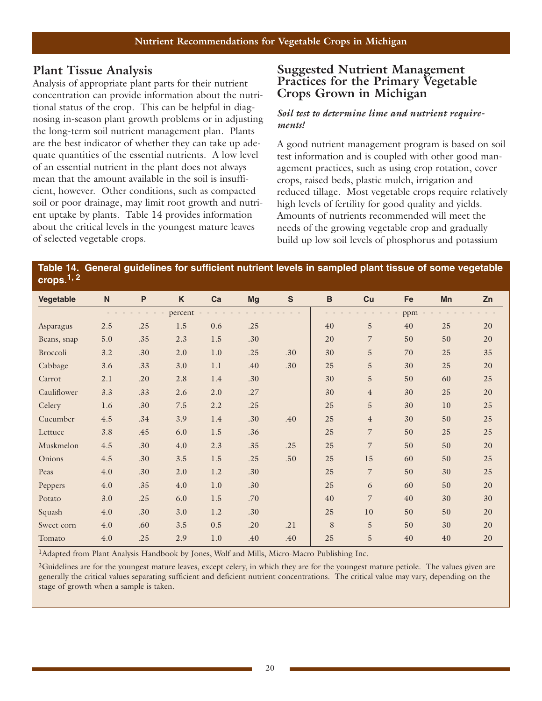## **Plant Tissue Analysis**

Analysis of appropriate plant parts for their nutrient concentration can provide information about the nutritional status of the crop. This can be helpful in diagnosing in-season plant growth problems or in adjusting the long-term soil nutrient management plan. Plants are the best indicator of whether they can take up adequate quantities of the essential nutrients. A low level of an essential nutrient in the plant does not always mean that the amount available in the soil is insufficient, however. Other conditions, such as compacted soil or poor drainage, may limit root growth and nutrient uptake by plants. Table 14 provides information about the critical levels in the youngest mature leaves of selected vegetable crops.

#### **Suggested Nutrient Management Practices for the Primary Vegetable Crops Grown in Michigan**

#### *Soil test to determine lime and nutrient requirements!*

A good nutrient management program is based on soil test information and is coupled with other good management practices, such as using crop rotation, cover crops, raised beds, plastic mulch, irrigation and reduced tillage. Most vegetable crops require relatively high levels of fertility for good quality and yields. Amounts of nutrients recommended will meet the needs of the growing vegetable crop and gradually build up low soil levels of phosphorus and potassium

#### **Table 14. General guidelines for sufficient nutrient levels in sampled plant tissue of some vegetable crops.1, 2**

| Vegetable   | ${\sf N}$ | $\mathsf{P}$ | K       | Ca      | <b>Mg</b> | $\mathsf{s}$ | $\, {\bf B}$ | Cu             | Fe  | Mn | Zn |
|-------------|-----------|--------------|---------|---------|-----------|--------------|--------------|----------------|-----|----|----|
|             |           |              | percent |         |           |              |              |                | ppm |    |    |
| Asparagus   | 2.5       | .25          | 1.5     | 0.6     | .25       |              | 40           | $\overline{5}$ | 40  | 25 | 20 |
| Beans, snap | 5.0       | .35          | 2.3     | 1.5     | .30       |              | 20           | 7              | 50  | 50 | 20 |
| Broccoli    | 3.2       | .30          | 2.0     | 1.0     | .25       | .30          | 30           | $\mathbf 5$    | 70  | 25 | 35 |
| Cabbage     | 3.6       | .33          | 3.0     | 1.1     | .40       | .30          | 25           | $\overline{5}$ | 30  | 25 | 20 |
| Carrot      | 2.1       | .20          | 2.8     | 1.4     | .30       |              | 30           | $\overline{5}$ | 50  | 60 | 25 |
| Cauliflower | 3.3       | .33          | 2.6     | 2.0     | .27       |              | 30           | $\overline{4}$ | 30  | 25 | 20 |
| Celery      | 1.6       | .30          | $7.5\,$ | 2.2     | .25       |              | 25           | $\overline{5}$ | 30  | 10 | 25 |
| Cucumber    | 4.5       | .34          | 3.9     | 1.4     | .30       | .40          | 25           | $\overline{4}$ | 30  | 50 | 25 |
| Lettuce     | 3.8       | .45          | 6.0     | 1.5     | .36       |              | 25           | $\overline{7}$ | 50  | 25 | 25 |
| Muskmelon   | $4.5\,$   | .30          | 4.0     | 2.3     | .35       | .25          | 25           | $\overline{7}$ | 50  | 50 | 20 |
| Onions      | $4.5\,$   | .30          | 3.5     | 1.5     | .25       | .50          | 25           | 15             | 60  | 50 | 25 |
| Peas        | 4.0       | .30          | $2.0$   | $1.2\,$ | .30       |              | 25           | 7              | 50  | 30 | 25 |
| Peppers     | 4.0       | .35          | 4.0     | 1.0     | .30       |              | 25           | 6              | 60  | 50 | 20 |
| Potato      | 3.0       | .25          | 6.0     | 1.5     | .70       |              | 40           | $\overline{7}$ | 40  | 30 | 30 |
| Squash      | 4.0       | .30          | 3.0     | 1.2     | .30       |              | 25           | 10             | 50  | 50 | 20 |
| Sweet corn  | 4.0       | .60          | 3.5     | 0.5     | .20       | .21          | 8            | 5              | 50  | 30 | 20 |
| Tomato      | 4.0       | .25          | 2.9     | 1.0     | .40       | .40          | 25           | 5              | 40  | 40 | 20 |

1Adapted from Plant Analysis Handbook by Jones, Wolf and Mills, Micro-Macro Publishing Inc.

2Guidelines are for the youngest mature leaves, except celery, in which they are for the youngest mature petiole. The values given are generally the critical values separating sufficient and deficient nutrient concentrations. The critical value may vary, depending on the stage of growth when a sample is taken.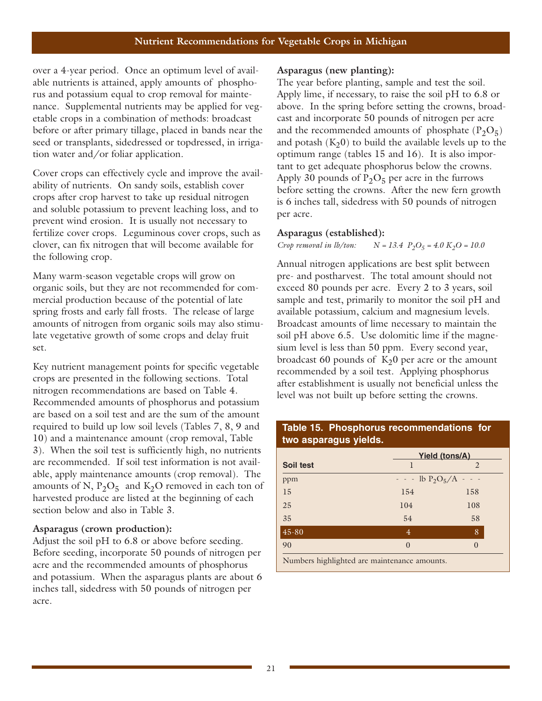over a 4-year period. Once an optimum level of available nutrients is attained, apply amounts of phosphorus and potassium equal to crop removal for maintenance. Supplemental nutrients may be applied for vegetable crops in a combination of methods: broadcast before or after primary tillage, placed in bands near the seed or transplants, sidedressed or topdressed, in irrigation water and/or foliar application.

Cover crops can effectively cycle and improve the availability of nutrients. On sandy soils, establish cover crops after crop harvest to take up residual nitrogen and soluble potassium to prevent leaching loss, and to prevent wind erosion. It is usually not necessary to fertilize cover crops. Leguminous cover crops, such as clover, can fix nitrogen that will become available for the following crop.

Many warm-season vegetable crops will grow on organic soils, but they are not recommended for commercial production because of the potential of late spring frosts and early fall frosts. The release of large amounts of nitrogen from organic soils may also stimulate vegetative growth of some crops and delay fruit set.

Key nutrient management points for specific vegetable crops are presented in the following sections. Total nitrogen recommendations are based on Table 4. Recommended amounts of phosphorus and potassium are based on a soil test and are the sum of the amount required to build up low soil levels (Tables 7, 8, 9 and 10) and a maintenance amount (crop removal, Table 3). When the soil test is sufficiently high, no nutrients are recommended. If soil test information is not available, apply maintenance amounts (crop removal). The amounts of N,  $P_2O_5$  and K<sub>2</sub>O removed in each ton of harvested produce are listed at the beginning of each section below and also in Table 3.

#### **Asparagus (crown production):**

Adjust the soil pH to 6.8 or above before seeding. Before seeding, incorporate 50 pounds of nitrogen per acre and the recommended amounts of phosphorus and potassium. When the asparagus plants are about 6 inches tall, sidedress with 50 pounds of nitrogen per acre.

#### **Asparagus (new planting):**

The year before planting, sample and test the soil. Apply lime, if necessary, to raise the soil pH to 6.8 or above. In the spring before setting the crowns, broadcast and incorporate 50 pounds of nitrogen per acre and the recommended amounts of phosphate  $(P_2O_5)$ and potash  $(K_2 0)$  to build the available levels up to the optimum range (tables 15 and 16). It is also important to get adequate phosphorus below the crowns. Apply 30 pounds of  $P_2O_5$  per acre in the furrows before setting the crowns. After the new fern growth is 6 inches tall, sidedress with 50 pounds of nitrogen per acre.

#### **Asparagus (established):**

*Crop removal in lb/ton:*  $N = 13.4 \text{ } P_2O_5 = 4.0 \text{ } K_2O = 10.0$ 

Annual nitrogen applications are best split between pre- and postharvest. The total amount should not exceed 80 pounds per acre. Every 2 to 3 years, soil sample and test, primarily to monitor the soil pH and available potassium, calcium and magnesium levels. Broadcast amounts of lime necessary to maintain the soil pH above 6.5. Use dolomitic lime if the magnesium level is less than 50 ppm. Every second year, broadcast 60 pounds of  $K<sub>2</sub>0$  per acre or the amount recommended by a soil test. Applying phosphorus after establishment is usually not beneficial unless the level was not built up before setting the crowns.

|           | Yield (tons/A)          |                |  |
|-----------|-------------------------|----------------|--|
| Soil test |                         | $\mathfrak{D}$ |  |
| ppm       | $-  \frac{1}{2}D_5/A -$ |                |  |
| 15        | 154                     | 158            |  |
| 25        | 104                     | 108            |  |
| 35        | 54                      | 58             |  |
| $45 - 80$ | 4                       | 8              |  |
| 90        | $\Omega$                | $\Omega$       |  |

**Table 15. Phosphorus recommendations for**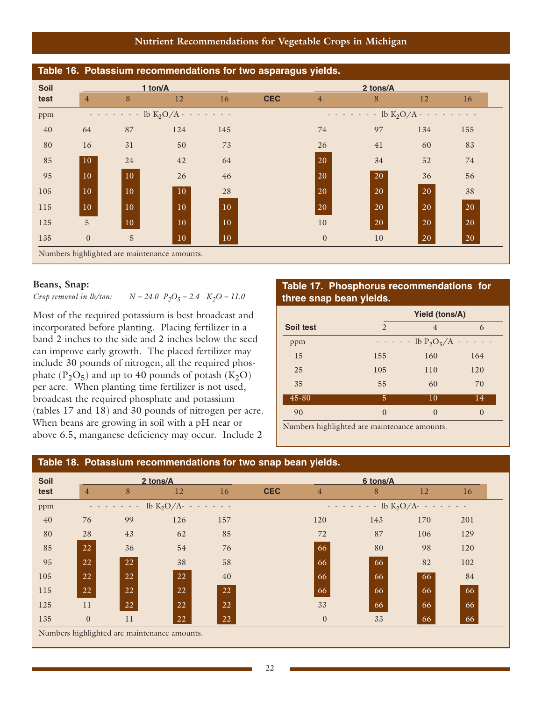**Nutrient Recommendations for Vegetable Crops in Michigan**

| Table 16. Potassium recommendations for two asparagus yields. |                 |                                                     |                 |                 |            |                |                                                     |           |           |  |
|---------------------------------------------------------------|-----------------|-----------------------------------------------------|-----------------|-----------------|------------|----------------|-----------------------------------------------------|-----------|-----------|--|
| Soil                                                          |                 |                                                     | 1 ton/A         |                 |            |                | 2 tons/A                                            |           |           |  |
| test                                                          | $\overline{4}$  | 8                                                   | 12              | 16              | <b>CEC</b> | $\overline{4}$ | 8                                                   | 12        | 16        |  |
| ppm                                                           |                 | $\cdot$ - - - - lb K <sub>2</sub> O/A - - - - - - - |                 |                 |            |                | $- - - - - -$ lb K <sub>2</sub> O/A - - - - - - - - |           |           |  |
| 40                                                            | 64              | 87                                                  | 124             | 145             |            | 74             | 97                                                  | 134       | 155       |  |
| 80                                                            | 16              | 31                                                  | 50              | 73              |            | 26             | 41                                                  | 60        | 83        |  |
| 85                                                            | 10              | 24                                                  | 42              | 64              |            | <b>20</b>      | 34                                                  | 52        | 74        |  |
| 95                                                            | 10              | 10                                                  | 26              | 46              |            | 20             | 20                                                  | 36        | 56        |  |
| 105                                                           | 10              | 10                                                  | 10 <sup>°</sup> | 28              |            | 20             | 20                                                  | 20        | 38        |  |
| 115                                                           | 10 <sup>°</sup> | 10                                                  | 10              | 10 <sup>°</sup> |            | <b>20</b>      | 20                                                  | 20        | 20        |  |
| 125                                                           | $\overline{5}$  | 10                                                  | 10              | 10              |            | 10             | <b>20</b>                                           | 20        | 20        |  |
| 135                                                           | $\overline{0}$  | 5                                                   | 10              | 10              |            | $\overline{0}$ | 10 <sup>°</sup>                                     | <b>20</b> | <b>20</b> |  |
|                                                               |                 | Numbers highlighted are maintenance amounts.        |                 |                 |            |                |                                                     |           |           |  |

#### **Beans, Snap:**

*Crop removal in lb/ton:*  $N = 24.0$   $P_2O_5 = 2.4$   $K_2O = 11.0$ 

Most of the required potassium is best broadcast and incorporated before planting. Placing fertilizer in a band 2 inches to the side and 2 inches below the seed can improve early growth. The placed fertilizer may include 30 pounds of nitrogen, all the required phosphate  $(P_2O_5)$  and up to 40 pounds of potash  $(K_2O)$ per acre. When planting time fertilizer is not used, broadcast the required phosphate and potassium (tables 17 and 18) and 30 pounds of nitrogen per acre. When beans are growing in soil with a pH near or above 6.5, manganese deficiency may occur. Include 2

#### **Table 17. Phosphorus recommendations for three snap bean yields.**

|           |                | <b>Yield (tons/A)</b>                               |               |  |  |  |
|-----------|----------------|-----------------------------------------------------|---------------|--|--|--|
| Soil test | $\overline{2}$ | $\overline{4}$                                      | 6             |  |  |  |
| ppm       |                | $\cdot$ - - - lb P <sub>2</sub> O <sub>5</sub> /A - |               |  |  |  |
| 15        | 155            | 160                                                 | 164           |  |  |  |
| 25        | 105            | 110                                                 | 120           |  |  |  |
| 35        | 55             | 60                                                  | 70            |  |  |  |
| 45-80     | 5              | 10                                                  | 14            |  |  |  |
| 90        | $\Omega$       | $\Omega$                                            | $\mathcal{O}$ |  |  |  |

Numbers highlighted are maintenance amounts.

#### **Table 18. Potassium recommendations for two snap bean yields.**

| <b>Soil</b> |                |                                              | 2 tons/A                  |     |            |                | 6 tons/A                                                                              |     |     |
|-------------|----------------|----------------------------------------------|---------------------------|-----|------------|----------------|---------------------------------------------------------------------------------------|-----|-----|
| test        | $\overline{4}$ | 8                                            | 12                        | 16  | <b>CEC</b> | $\overline{4}$ | 8                                                                                     | 12  | 16  |
| ppm         |                | $\sim$ $     -$                              | $1b K_2O/A$ - - - - - - - |     |            |                | $\cdots$ $\cdots$ $\cdots$ $\cdots$ lb K <sub>2</sub> O/A- $\cdots$ $\cdots$ $\cdots$ |     |     |
| 40          | 76             | 99                                           | 126                       | 157 |            | 120            | 143                                                                                   | 170 | 201 |
| 80          | 28             | 43                                           | 62                        | 85  |            | 72             | 87                                                                                    | 106 | 129 |
| 85          | 22             | 36                                           | 54                        | 76  |            | 66             | 80                                                                                    | 98  | 120 |
| 95          | 22             | 22                                           | 38                        | 58  |            | 66             | 66                                                                                    | 82  | 102 |
| 105         | 22             | 22                                           | 22                        | 40  |            | 66             | 66                                                                                    | 66  | 84  |
| 115         | 22             | 22                                           | 22                        | 22  |            | 66             | 66                                                                                    | 66  | 66  |
| 125         | 11             | 22                                           | 22                        | 22  |            | 33             | 66                                                                                    | 66  | 66  |
| 135         | $\mathbf{0}$   | 11                                           | 22                        | 22  |            | $\overline{0}$ | 33                                                                                    | 66  | 66  |
|             |                | Numbers highlighted are maintenance amounts. |                           |     |            |                |                                                                                       |     |     |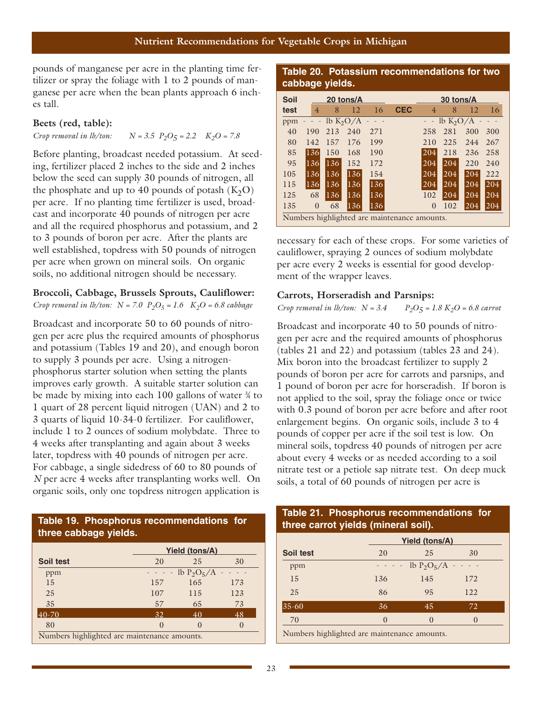pounds of manganese per acre in the planting time fertilizer or spray the foliage with 1 to 2 pounds of manganese per acre when the bean plants approach 6 inches tall.

#### **Beets (red, table):**

*Crop removal in lb/ton:*  $N = 3.5 \, P_2O_5 = 2.2 \, K_2O = 7.8$ 

Before planting, broadcast needed potassium. At seeding, fertilizer placed 2 inches to the side and 2 inches below the seed can supply 30 pounds of nitrogen, all the phosphate and up to 40 pounds of potash  $(K_2O)$ per acre. If no planting time fertilizer is used, broadcast and incorporate 40 pounds of nitrogen per acre and all the required phosphorus and potassium, and 2 to 3 pounds of boron per acre. After the plants are well established, topdress with 50 pounds of nitrogen per acre when grown on mineral soils. On organic soils, no additional nitrogen should be necessary.

#### **Broccoli, Cabbage, Brussels Sprouts, Cauliflower:**

*Crop removal in lb/ton:*  $N = 7.0$   $P_2O_5 = 1.6$   $K_2O = 6.8$  cabbage

Broadcast and incorporate 50 to 60 pounds of nitrogen per acre plus the required amounts of phosphorus and potassium (Tables 19 and 20), and enough boron to supply 3 pounds per acre. Using a nitrogenphosphorus starter solution when setting the plants improves early growth. A suitable starter solution can be made by mixing into each 100 gallons of water  $\frac{3}{4}$  to 1 quart of 28 percent liquid nitrogen (UAN) and 2 to 3 quarts of liquid 10-34-0 fertilizer. For cauliflower, include 1 to 2 ounces of sodium molybdate. Three to 4 weeks after transplanting and again about 3 weeks later, topdress with 40 pounds of nitrogen per acre. For cabbage, a single sidedress of 60 to 80 pounds of *N* per acre 4 weeks after transplanting works well. On organic soils, only one topdress nitrogen application is

#### **Table 19. Phosphorus recommendations for three cabbage yields.**

| <b>Yield (tons/A)</b>                        |     |                       |     |  |  |  |  |  |
|----------------------------------------------|-----|-----------------------|-----|--|--|--|--|--|
| Soil test                                    | 20  | 25                    | 30  |  |  |  |  |  |
| ppm                                          |     | $- - -$ lb $P_2O_5/A$ |     |  |  |  |  |  |
| 15                                           | 157 | 165                   | 173 |  |  |  |  |  |
| 25                                           | 107 | 115                   | 123 |  |  |  |  |  |
| 35                                           | 57  | 65                    | 73  |  |  |  |  |  |
| 40-70                                        | 32  | 40                    | 48  |  |  |  |  |  |
| 80                                           |     |                       |     |  |  |  |  |  |
| Numbers highlighted are maintenance amounts. |     |                       |     |  |  |  |  |  |

#### **Table 20. Potassium recommendations for two cabbage yields.**

| <b>Soil</b> |                |     | 20 tons/A   |            |                                              |                | 30 tons/A     |     |     |
|-------------|----------------|-----|-------------|------------|----------------------------------------------|----------------|---------------|-----|-----|
| test        | $\overline{4}$ | 8   | 12          | 16         | <b>CEC</b>                                   | $\overline{4}$ | 8             | 12  | 16  |
| ppm         | $ -$           |     | lb $K_2O/A$ | $\sim$ $-$ |                                              |                | lb $K_2O/A$ - |     |     |
| 40          | 190            | 213 | 240         | 271        |                                              | 258            | 281           | 300 | 300 |
| 80          | 142            | 157 | 176         | 199        |                                              | 210            | 225           | 244 | 267 |
| 85          | 136            | 150 | 168         | 190        |                                              | 204            | 218           | 236 | 258 |
| 95          | 136            | 136 | 152         | 172        |                                              | 204            | 204           | 220 | 240 |
| 105         | 136            | 136 | 136         | 154        |                                              | 204            | 204           | 204 | 222 |
| 115         | 136            | 136 | 136         | 136        |                                              | 204            | 204           | 204 | 204 |
| 125         | 68             | 136 | 136         | 136        |                                              | 102            | 204           | 204 | 204 |
| 135         | $\overline{0}$ | 68  | 136         | 136        |                                              | $\theta$       | 102           | 204 | 204 |
|             |                |     |             |            | Numbers highlighted are maintenance amounts. |                |               |     |     |

necessary for each of these crops. For some varieties of cauliflower, spraying 2 ounces of sodium molybdate per acre every 2 weeks is essential for good development of the wrapper leaves.

#### **Carrots, Horseradish and Parsnips:**

*Crop removal in lb/ton:*  $N = 3.4$   $P_2O_5 = 1.8 K_2O = 6.8$  carrot

Broadcast and incorporate 40 to 50 pounds of nitrogen per acre and the required amounts of phosphorus (tables 21 and 22) and potassium (tables 23 and 24). Mix boron into the broadcast fertilizer to supply 2 pounds of boron per acre for carrots and parsnips, and 1 pound of boron per acre for horseradish. If boron is not applied to the soil, spray the foliage once or twice with 0.3 pound of boron per acre before and after root enlargement begins. On organic soils, include 3 to 4 pounds of copper per acre if the soil test is low. On mineral soils, topdress 40 pounds of nitrogen per acre about every 4 weeks or as needed according to a soil nitrate test or a petiole sap nitrate test. On deep muck soils, a total of 60 pounds of nitrogen per acre is

#### **Table 21. Phosphorus recommendations for three carrot yields (mineral soil).**

|             |          | <b>Yield (tons/A)</b>       |          |  |  |  |  |
|-------------|----------|-----------------------------|----------|--|--|--|--|
| Soil test   | 20       | 25                          | 30       |  |  |  |  |
| ppm         |          | $- - -$ lb $P_2O_5/A - - -$ |          |  |  |  |  |
| 15          | 136      | 145                         | 172      |  |  |  |  |
| 25          | 86       | 95                          | 122      |  |  |  |  |
| $ 35 - 60 $ | 36       | 45                          | 72       |  |  |  |  |
| 70          | $\theta$ | $\Omega$                    | $\Omega$ |  |  |  |  |

Numbers highlighted are maintenance amounts.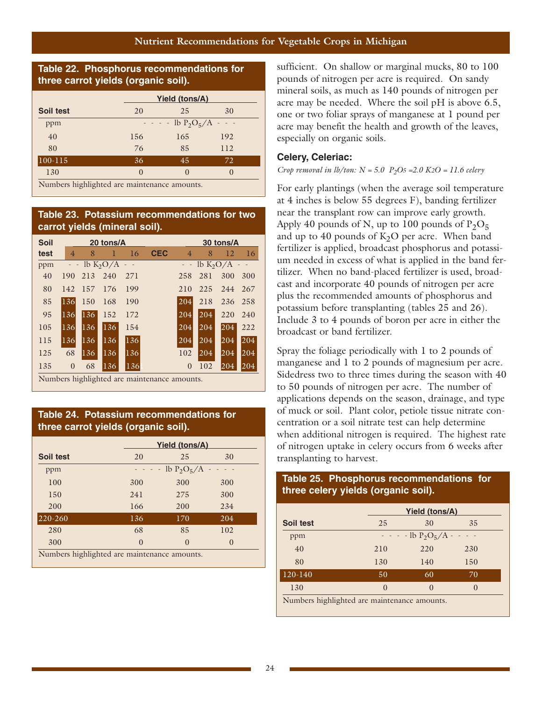#### **Table 22. Phosphorus recommendations for three carrot yields (organic soil).**

|              |          | <b>Yield (tons/A)</b>                             |          |  |  |  |  |
|--------------|----------|---------------------------------------------------|----------|--|--|--|--|
| Soil test    | 20       | 25                                                | 30       |  |  |  |  |
| ppm          |          | $- - -$ lb P <sub>2</sub> O <sub>5</sub> /A - - - |          |  |  |  |  |
| 40           | 156      | 165                                               | 192      |  |  |  |  |
| 80           | 76       | 85                                                | 112      |  |  |  |  |
| $ 100 - 115$ | 36       | 45                                                | 72       |  |  |  |  |
| 130          | $\Omega$ | $\left( \right)$                                  | $\Omega$ |  |  |  |  |

Numbers highlighted are maintenance amounts.

#### **Table 23. Potassium recommendations for two carrot yields (mineral soil).**

| <b>Soil</b> |                |     | 20 tons/A     |     |            |                |     | 30 tons/A                     |               |
|-------------|----------------|-----|---------------|-----|------------|----------------|-----|-------------------------------|---------------|
| test        | $\overline{4}$ | 8   | ı             | 16  | <b>CEC</b> | $\overline{4}$ | 8   | 12                            | <sup>16</sup> |
| ppm         |                |     | $lb K_2O/A -$ |     |            |                |     | $-$ lb K <sub>2</sub> O/A $-$ |               |
| 40          | 190            | 213 | 240           | 271 |            | 258            | 281 | 300                           | 300           |
| 80          | 142            | 157 | 176           | 199 |            | 210            | 225 | 244                           | 267           |
| 85          | 136            | 150 | 168           | 190 |            | 204            | 218 | 236                           | 258           |
| 95          | 136            | 136 | 152           | 172 |            | 204            | 204 | 220                           | 240           |
| 105         | 136            | 136 | 136           | 154 |            | 204            | 204 | 204                           | 222           |
| 115         | 136            | 136 | 136           | 136 |            | 204            | 204 | 204                           | 204           |
| 125         | 68             | 136 | 136           | 136 |            | 102            | 204 | 204                           | 204           |
| 135         | $\overline{0}$ | 68  | 136           | 136 |            | $\theta$       | 102 | 204                           | 204           |

Numbers highlighted are maintenance amounts.

#### **Table 24. Potassium recommendations for three carrot yields (organic soil).**

|                                              |          | <b>Yield (tons/A)</b>   |          |
|----------------------------------------------|----------|-------------------------|----------|
| Soil test                                    | 20       | 25                      | 30       |
| ppm                                          |          | $- - -$ lb $P_2O_5/A -$ |          |
| 100                                          | 300      | 300                     | 300      |
| 150                                          | 241      | 275                     | 300      |
| 200                                          | 166      | 200                     | 234      |
| 220-260                                      | 136      | 170                     | 204      |
| 280                                          | 68       | 85                      | 102      |
| 300                                          | $\Omega$ | $\Omega$                | $\Omega$ |
| Numbers highlighted are maintenance amounts. |          |                         |          |

sufficient. On shallow or marginal mucks, 80 to 100 pounds of nitrogen per acre is required. On sandy mineral soils, as much as 140 pounds of nitrogen per acre may be needed. Where the soil pH is above 6.5, one or two foliar sprays of manganese at 1 pound per acre may benefit the health and growth of the leaves, especially on organic soils.

#### **Celery, Celeriac:**

#### *Crop removal in lb/ton:*  $N = 5.0$   $P_2O_5 = 2.0$   $K2O = 11.6$  celery

For early plantings (when the average soil temperature at 4 inches is below 55 degrees F), banding fertilizer near the transplant row can improve early growth. Apply 40 pounds of N, up to 100 pounds of  $P_2O_5$ and up to 40 pounds of  $K<sub>2</sub>O$  per acre. When band fertilizer is applied, broadcast phosphorus and potassium needed in excess of what is applied in the band fertilizer. When no band-placed fertilizer is used, broadcast and incorporate 40 pounds of nitrogen per acre plus the recommended amounts of phosphorus and potassium before transplanting (tables 25 and 26). Include 3 to 4 pounds of boron per acre in either the broadcast or band fertilizer.

Spray the foliage periodically with 1 to 2 pounds of manganese and 1 to 2 pounds of magnesium per acre. Sidedress two to three times during the season with 40 to 50 pounds of nitrogen per acre. The number of applications depends on the season, drainage, and type of muck or soil. Plant color, petiole tissue nitrate concentration or a soil nitrate test can help determine when additional nitrogen is required. The highest rate of nitrogen uptake in celery occurs from 6 weeks after transplanting to harvest.

#### **Table 25. Phosphorus recommendations for three celery yields (organic soil).**

|                                              |          | <b>Yield (tons/A)</b>       |          |  |  |  |  |  |
|----------------------------------------------|----------|-----------------------------|----------|--|--|--|--|--|
| Soil test                                    | 25       | 30                          | 35       |  |  |  |  |  |
| ppm                                          |          | $- - -$ lb $P_2O_5/A - - -$ |          |  |  |  |  |  |
| 40                                           | 210      | 220                         | 230      |  |  |  |  |  |
| 80                                           | 130      | 140                         | 150      |  |  |  |  |  |
| 120-140                                      | 50       | 60                          | 70       |  |  |  |  |  |
| 130                                          | $\Omega$ | $\Omega$                    | $\Omega$ |  |  |  |  |  |
| Numbers highlighted are maintenance amounts. |          |                             |          |  |  |  |  |  |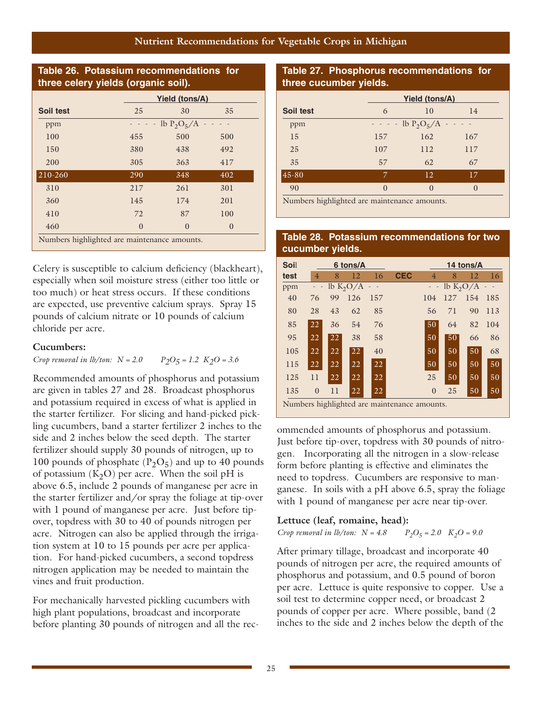#### **Nutrient Recommendations for Vegetable Crops in Michigan**

#### **Table 26. Potassium recommendations for three celery yields (organic soil).**

|                                              | Yield (tons/A) |               |
|----------------------------------------------|----------------|---------------|
|                                              |                |               |
| 25                                           | 30             | 35            |
|                                              |                |               |
| 455                                          | 500            | 500           |
| 380                                          | 438            | 492           |
| 305                                          | 363            | 417           |
| 290                                          | 348            | 402           |
| 217                                          | 261            | 301           |
| 145                                          | 174            | 201           |
| 72                                           | 87             | 100           |
| $\theta$                                     | $\theta$       | $\theta$      |
| Numbers highlighted are maintenance amounts. |                | lb $P_2O_5/A$ |

Celery is susceptible to calcium deficiency (blackheart), especially when soil moisture stress (either too little or too much) or heat stress occurs. If these conditions are expected, use preventive calcium sprays. Spray 15 pounds of calcium nitrate or 10 pounds of calcium chloride per acre.

#### **Cucumbers:**

*Crop removal in lb/ton:*  $N = 2.0$   $P_2O_5 = 1.2$   $K_2O = 3.6$ 

Recommended amounts of phosphorus and potassium are given in tables 27 and 28. Broadcast phosphorus and potassium required in excess of what is applied in the starter fertilizer. For slicing and hand-picked pickling cucumbers, band a starter fertilizer 2 inches to the side and 2 inches below the seed depth. The starter fertilizer should supply 30 pounds of nitrogen, up to 100 pounds of phosphate  $(P_2O_5)$  and up to 40 pounds of potassium  $(K_2O)$  per acre. When the soil pH is above 6.5, include 2 pounds of manganese per acre in the starter fertilizer and/or spray the foliage at tip-over with 1 pound of manganese per acre. Just before tipover, topdress with 30 to 40 of pounds nitrogen per acre. Nitrogen can also be applied through the irrigation system at 10 to 15 pounds per acre per application. For hand-picked cucumbers, a second topdress nitrogen application may be needed to maintain the vines and fruit production.

For mechanically harvested pickling cucumbers with high plant populations, broadcast and incorporate before planting 30 pounds of nitrogen and all the rec-

#### **Table 27. Phosphorus recommendations for three cucumber yields.**

| Soil test<br>10<br>6<br>14<br>$- - -$ lb P <sub>2</sub> O <sub>5</sub> /A - - - -<br>ppm<br>15<br>162<br>157<br>167<br>25<br>107<br>112<br>117<br>35<br>57<br>62<br>67<br>$45 - 80$<br>12<br>17<br>7 |          | Yield (tons/A) |  |
|------------------------------------------------------------------------------------------------------------------------------------------------------------------------------------------------------|----------|----------------|--|
|                                                                                                                                                                                                      |          |                |  |
|                                                                                                                                                                                                      |          |                |  |
|                                                                                                                                                                                                      |          |                |  |
|                                                                                                                                                                                                      |          |                |  |
|                                                                                                                                                                                                      |          |                |  |
|                                                                                                                                                                                                      |          |                |  |
| 90<br>$\mathcal{O}$                                                                                                                                                                                  | $\Omega$ | $\Omega$       |  |

Numbers highlighted are maintenance amounts.

#### **Table 28. Potassium recommendations for two cucumber yields.**

| Soil |          |    | 6 tons/A    |     |                                              |                |             | 14 tons/A |     |
|------|----------|----|-------------|-----|----------------------------------------------|----------------|-------------|-----------|-----|
| test | 4        | 8  | 12          | 16  | <b>CEC</b>                                   | $\overline{4}$ | 8           | 12        | 16  |
| ppm  |          |    | lb $K_2O/A$ |     |                                              |                | lb $K_2O/A$ |           |     |
| 40   | 76       | 99 | 126         | 157 |                                              | 104            | 127         | 154       | 185 |
| 80   | 28       | 43 | 62          | 85  |                                              | 56             | 71          | 90        | 113 |
| 85   | 22       | 36 | 54          | 76  |                                              | 50             | 64          | 82        | 104 |
| 95   | 22       | 22 | 38          | 58  |                                              | 50             | 50          | 66        | 86  |
| 105  | 22       | 22 | 22          | 40  |                                              | 50             | 50          | 50        | 68  |
| 115  | 22       | 22 | 22          | 22  |                                              | 50             | 50          | 50        | 50  |
| 125  | 11       | 22 | 22          | 22  |                                              | 25             | 50          | 50        | 50  |
| 135  | $\theta$ | 11 | 22          | 22  |                                              | $\theta$       | 25          | 50        | 50  |
|      |          |    |             |     | Numbers highlighted are maintenance amounts. |                |             |           |     |

ommended amounts of phosphorus and potassium. Just before tip-over, topdress with 30 pounds of nitrogen. Incorporating all the nitrogen in a slow-release form before planting is effective and eliminates the need to topdress. Cucumbers are responsive to manganese. In soils with a pH above 6.5, spray the foliage with 1 pound of manganese per acre near tip-over.

#### **Lettuce (leaf, romaine, head):**

*Crop removal in lb/ton:*  $N = 4.8$   $P_2O_5 = 2.0$   $K_2O = 9.0$ 

After primary tillage, broadcast and incorporate 40 pounds of nitrogen per acre, the required amounts of phosphorus and potassium, and 0.5 pound of boron per acre. Lettuce is quite responsive to copper. Use a soil test to determine copper need, or broadcast 2 pounds of copper per acre. Where possible, band (2 inches to the side and 2 inches below the depth of the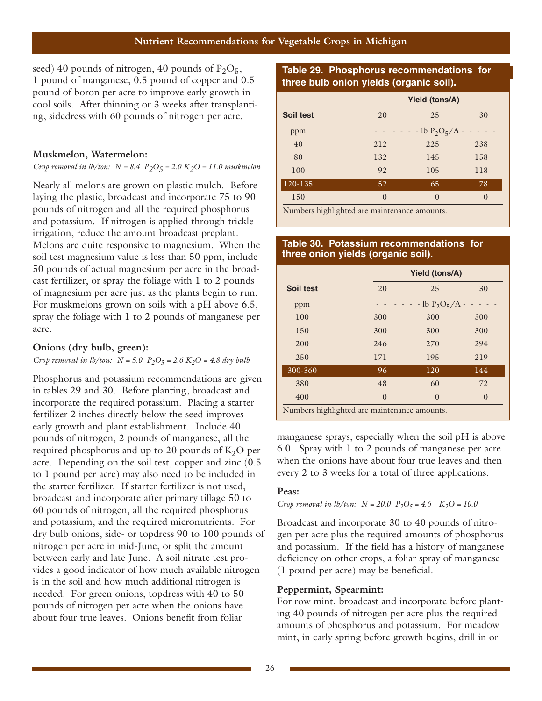seed) 40 pounds of nitrogen, 40 pounds of  $P_2O_5$ , 1 pound of manganese, 0.5 pound of copper and 0.5 pound of boron per acre to improve early growth in cool soils. After thinning or 3 weeks after transplanting, sidedress with 60 pounds of nitrogen per acre.

#### **Muskmelon, Watermelon:**

*Crop removal in lb/ton: N = 8.4 P2O5 = 2.0 K2O = 11.0 muskmelon*

Nearly all melons are grown on plastic mulch. Before laying the plastic, broadcast and incorporate 75 to 90 pounds of nitrogen and all the required phosphorus and potassium. If nitrogen is applied through trickle irrigation, reduce the amount broadcast preplant. Melons are quite responsive to magnesium. When the soil test magnesium value is less than 50 ppm, include 50 pounds of actual magnesium per acre in the broadcast fertilizer, or spray the foliage with 1 to 2 pounds of magnesium per acre just as the plants begin to run. For muskmelons grown on soils with a pH above 6.5, spray the foliage with 1 to 2 pounds of manganese per acre.

#### **Onions (dry bulb, green):**

*Crop removal in lb/ton:*  $N = 5.0$   $P_2O_5 = 2.6$   $K_2O = 4.8$  dry bulb

Phosphorus and potassium recommendations are given in tables 29 and 30. Before planting, broadcast and incorporate the required potassium. Placing a starter fertilizer 2 inches directly below the seed improves early growth and plant establishment. Include 40 pounds of nitrogen, 2 pounds of manganese, all the required phosphorus and up to 20 pounds of  $K_2O$  per acre. Depending on the soil test, copper and zinc (0.5 to 1 pound per acre) may also need to be included in the starter fertilizer. If starter fertilizer is not used, broadcast and incorporate after primary tillage 50 to 60 pounds of nitrogen, all the required phosphorus and potassium, and the required micronutrients. For dry bulb onions, side- or topdress 90 to 100 pounds of nitrogen per acre in mid-June, or split the amount between early and late June. A soil nitrate test provides a good indicator of how much available nitrogen is in the soil and how much additional nitrogen is needed. For green onions, topdress with 40 to 50 pounds of nitrogen per acre when the onions have about four true leaves. Onions benefit from foliar

#### **Table 29. Phosphorus recommendations for three bulb onion yields (organic soil).**

|           |          | <b>Yield (tons/A)</b> |          |  |  |  |  |
|-----------|----------|-----------------------|----------|--|--|--|--|
| Soil test | 20       | 25                    | 30       |  |  |  |  |
| ppm       |          | $-$ - lb $P_2O_5/A$ - |          |  |  |  |  |
| 40        | 212      | 225                   | 238      |  |  |  |  |
| 80        | 132      | 145                   | 158      |  |  |  |  |
| 100       | 92       | 105                   | 118      |  |  |  |  |
| 120-135   | 52       | 65                    | 78       |  |  |  |  |
| 150       | $\theta$ | $\theta$              | $\theta$ |  |  |  |  |
| .         |          |                       |          |  |  |  |  |

Numbers highlighted are maintenance amounts.

#### **Table 30. Potassium recommendations for three onion yields (organic soil).**

|                                              |          | Yield (tons/A)      |          |  |  |  |
|----------------------------------------------|----------|---------------------|----------|--|--|--|
| Soil test                                    | 20       | 25                  | 30       |  |  |  |
| ppm                                          |          | $-$ lb $P_2O_5/A -$ |          |  |  |  |
| 100                                          | 300      | 300                 | 300      |  |  |  |
| 150                                          | 300      | 300                 | 300      |  |  |  |
| 200                                          | 246      | 270                 | 294      |  |  |  |
| 250                                          | 171      | 195                 | 219      |  |  |  |
| 300-360                                      | 96       | 120                 | 144      |  |  |  |
| 380                                          | 48       | 60                  | 72       |  |  |  |
| 400                                          | $\theta$ | $\Omega$            | $\theta$ |  |  |  |
| Numbers highlighted are maintenance amounts. |          |                     |          |  |  |  |

manganese sprays, especially when the soil pH is above 6.0. Spray with 1 to 2 pounds of manganese per acre when the onions have about four true leaves and then every 2 to 3 weeks for a total of three applications.

#### **Peas:**

#### *Crop removal in lb/ton:*  $N = 20.0$   $P_2O_5 = 4.6$   $K_2O = 10.0$

Broadcast and incorporate 30 to 40 pounds of nitrogen per acre plus the required amounts of phosphorus and potassium. If the field has a history of manganese deficiency on other crops, a foliar spray of manganese (1 pound per acre) may be beneficial.

#### **Peppermint, Spearmint:**

For row mint, broadcast and incorporate before planting 40 pounds of nitrogen per acre plus the required amounts of phosphorus and potassium. For meadow mint, in early spring before growth begins, drill in or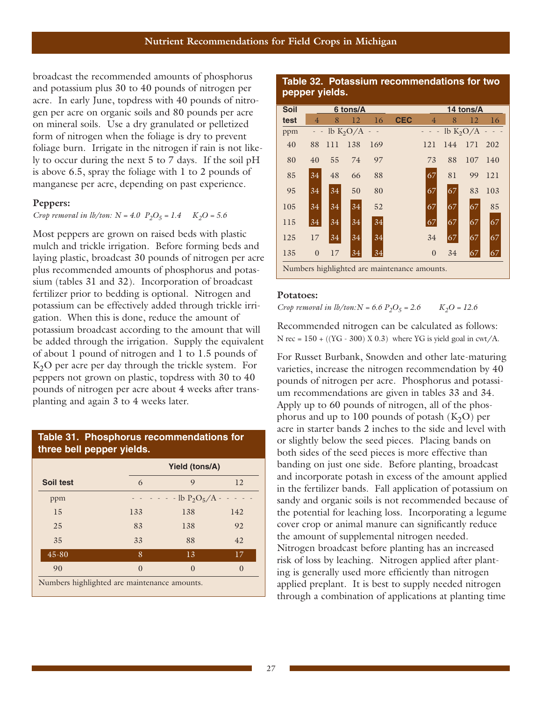broadcast the recommended amounts of phosphorus and potassium plus 30 to 40 pounds of nitrogen per acre. In early June, topdress with 40 pounds of nitrogen per acre on organic soils and 80 pounds per acre on mineral soils. Use a dry granulated or pelletized form of nitrogen when the foliage is dry to prevent foliage burn. Irrigate in the nitrogen if rain is not likely to occur during the next 5 to 7 days. If the soil pH is above 6.5, spray the foliage with 1 to 2 pounds of manganese per acre, depending on past experience.

#### **Peppers:**

#### *Crop removal in lb/ton:*  $N = 4.0$   $P_2O_5 = 1.4$   $K_2O = 5.6$

Most peppers are grown on raised beds with plastic mulch and trickle irrigation. Before forming beds and laying plastic, broadcast 30 pounds of nitrogen per acre plus recommended amounts of phosphorus and potassium (tables 31 and 32). Incorporation of broadcast fertilizer prior to bedding is optional. Nitrogen and potassium can be effectively added through trickle irrigation. When this is done, reduce the amount of potassium broadcast according to the amount that will be added through the irrigation. Supply the equivalent of about 1 pound of nitrogen and 1 to 1.5 pounds of K<sub>2</sub>O per acre per day through the trickle system. For peppers not grown on plastic, topdress with 30 to 40 pounds of nitrogen per acre about 4 weeks after transplanting and again 3 to 4 weeks later.

#### **Table 31. Phosphorus recommendations for three bell pepper yields.**

|                                              |          | Yield (tons/A)      |              |  |  |  |  |
|----------------------------------------------|----------|---------------------|--------------|--|--|--|--|
| Soil test                                    | 6        | 9                   | 12           |  |  |  |  |
| ppm                                          |          | $-$ lb $P_2O_5/A -$ |              |  |  |  |  |
| 15                                           | 133      | 138                 | 142          |  |  |  |  |
| 25                                           | 83       | 138                 | 92           |  |  |  |  |
| 35                                           | 33       | 88                  | 42           |  |  |  |  |
| $45 - 80$                                    | 8        | 13                  | 17           |  |  |  |  |
| 90                                           | $\Omega$ | $\Omega$            | $\mathbf{O}$ |  |  |  |  |
| Numbers highlighted are maintenance amounts. |          |                     |              |  |  |  |  |

#### **Table 32. Potassium recommendations for two pepper yields.**

| Soil |                          |     | 6 tons/A    |     |                                              |                | 14 tons/A |             |     |  |
|------|--------------------------|-----|-------------|-----|----------------------------------------------|----------------|-----------|-------------|-----|--|
| test | 4                        | 8   | 12          | 16  | <b>CEC</b>                                   | 4              | 8         | 12          | 16  |  |
| ppm  | $\overline{\phantom{0}}$ |     | lb $K_2O/A$ |     |                                              |                |           | lb $K_2O/A$ |     |  |
| 40   | 88                       | 111 | 138         | 169 |                                              | 121            | 144       | 171         | 202 |  |
| 80   | 40                       | 55  | 74          | 97  |                                              | 73             | 88        | 107         | 140 |  |
| 85   | 34                       | 48  | 66          | 88  |                                              | 67             | 81        | 99          | 121 |  |
| 95   | 34                       | 34  | 50          | 80  |                                              | 67             | 67        | 83          | 103 |  |
| 105  | 34                       | 34  | 34          | 52  |                                              | 67             | 67        | 67          | 85  |  |
| 115  | 34                       | 34  | 34          | 34  |                                              | 67             | 67        | 67          | 67  |  |
| 125  | 17                       | 34  | 34          | 34  |                                              | 34             | 67        | 67          | 67  |  |
| 135  | $\overline{0}$           | 17  | 34          | 34  |                                              | $\overline{0}$ | 34        | 67          | 67  |  |
|      |                          |     |             |     | Numbers highlighted are maintenance amounts. |                |           |             |     |  |

#### **Potatoes:**

*Crop removal in*  $lb/ton$ *:*  $N = 6.6 P_2O_5 = 2.6$   $K_2O = 12.6$ 

Recommended nitrogen can be calculated as follows: N rec =  $150 + ((YG - 300) X 0.3)$  where YG is yield goal in cwt/A.

For Russet Burbank, Snowden and other late-maturing varieties, increase the nitrogen recommendation by 40 pounds of nitrogen per acre. Phosphorus and potassium recommendations are given in tables 33 and 34. Apply up to 60 pounds of nitrogen, all of the phosphorus and up to 100 pounds of potash  $(K_2O)$  per acre in starter bands 2 inches to the side and level with or slightly below the seed pieces. Placing bands on both sides of the seed pieces is more effective than banding on just one side. Before planting, broadcast and incorporate potash in excess of the amount applied in the fertilizer bands. Fall application of potassium on sandy and organic soils is not recommended because of the potential for leaching loss. Incorporating a legume cover crop or animal manure can significantly reduce the amount of supplemental nitrogen needed. Nitrogen broadcast before planting has an increased risk of loss by leaching. Nitrogen applied after planting is generally used more efficiently than nitrogen applied preplant. It is best to supply needed nitrogen through a combination of applications at planting time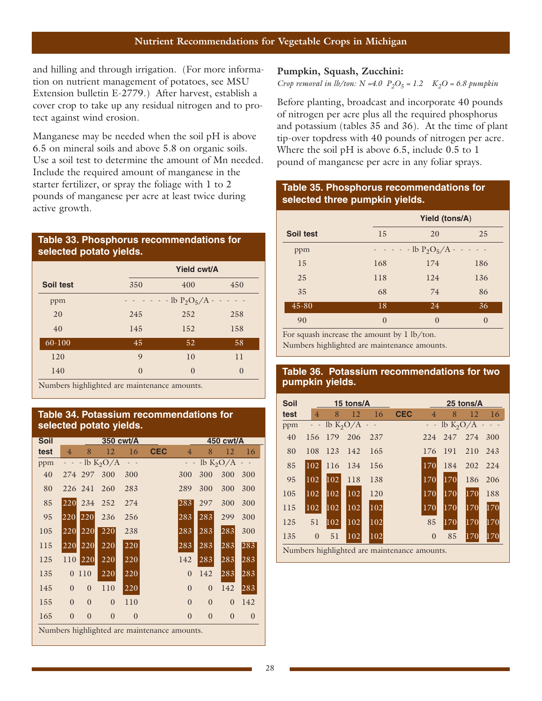and hilling and through irrigation. (For more information on nutrient management of potatoes, see MSU Extension bulletin E-2779.) After harvest, establish a cover crop to take up any residual nitrogen and to protect against wind erosion.

Manganese may be needed when the soil pH is above 6.5 on mineral soils and above 5.8 on organic soils. Use a soil test to determine the amount of Mn needed. Include the required amount of manganese in the starter fertilizer, or spray the foliage with 1 to 2 pounds of manganese per acre at least twice during active growth.

#### **Table 33. Phosphorus recommendations for selected potato yields.**

|            |             | Yield cwt/A                                           |          |  |  |  |
|------------|-------------|-------------------------------------------------------|----------|--|--|--|
| Soil test  | 350         | 400                                                   | 450      |  |  |  |
| ppm        |             | $\cdot$ - - lb P <sub>2</sub> O <sub>5</sub> /A - - - |          |  |  |  |
| 20         | 245         | 252                                                   | 258      |  |  |  |
| 40         | 145         | 152                                                   | 158      |  |  |  |
| $60 - 100$ | 45          | 52                                                    | 58       |  |  |  |
| 120        | $\mathbf Q$ | 10                                                    | 11       |  |  |  |
| 140        | $\Omega$    | $\Omega$                                              | $\left($ |  |  |  |

Numbers highlighted are maintenance amounts.

#### **Table 34. Potassium recommendations for selected potato yields.**

| <b>Soil</b> |                |                |             | 350 cwt/A |                                              |                |                | 450 cwt/A   |          |
|-------------|----------------|----------------|-------------|-----------|----------------------------------------------|----------------|----------------|-------------|----------|
| test        | $\overline{4}$ | 8              | 12          | 16        | <b>CEC</b>                                   | $\overline{4}$ | 8              | 12          | 16       |
| ppm         |                |                | $-lb K2O/A$ |           |                                              |                |                | lb $K_2O/A$ |          |
| 40          |                | 274 297        | 300         | 300       |                                              | 300            | 300            | 300         | 300      |
| 80          |                | 226 241        | 260         | 283       |                                              | 289            | 300            | 300         | 300      |
| 85          | 220            | 234            | 252         | 274       |                                              | 283            | 297            | 300         | 300      |
| 95          | 220            | 220            | 236         | 256       |                                              | 283            | 283            | 299         | 300      |
| 105         | 220            | 220            | 220         | 238       |                                              | 283            | 283            | 283         | 300      |
| 115         | 220            | 220            | 220         | 220       |                                              | 283            | 283            | 283         | 283      |
| 125         | 110            | 220            | 220         | 220       |                                              | 142            | 283            | 283         | 283      |
| 135         | $\overline{0}$ | 110            | 220         | 220       |                                              | $\theta$       | 142            | 283         | 283      |
| 145         | $\theta$       | $\overline{0}$ | 110         | 220       |                                              | $\overline{0}$ | $\theta$       | 142         | 283      |
| 155         | $\theta$       | $\theta$       | $\theta$    | 110       |                                              | $\theta$       | $\overline{0}$ | $\theta$    | 142      |
| 165         | $\overline{0}$ | $\overline{0}$ | $\theta$    | $\theta$  |                                              | $\theta$       | $\theta$       | $\theta$    | $\theta$ |
|             |                |                |             |           | Numbers highlighted are maintenance amounts. |                |                |             |          |

#### **Pumpkin, Squash, Zucchini:**

*Crop removal in lb/ton:*  $N = 4.0$   $P_2O_5 = 1.2$   $K_2O = 6.8$  pumpkin

Before planting, broadcast and incorporate 40 pounds of nitrogen per acre plus all the required phosphorus and potassium (tables 35 and 36). At the time of plant tip-over topdress with 40 pounds of nitrogen per acre. Where the soil pH is above 6.5, include 0.5 to 1 pound of manganese per acre in any foliar sprays.

#### **Table 35. Phosphorus recommendations for selected three pumpkin yields.**

|           |          | <b>Yield (tons/A)</b>                                                                                               |          |  |  |  |
|-----------|----------|---------------------------------------------------------------------------------------------------------------------|----------|--|--|--|
| Soil test | 15       | 20                                                                                                                  | 25       |  |  |  |
| ppm       |          | $\cdot$ $\cdot$ $\cdot$ $\cdot$ $\cdot$ lb P <sub>2</sub> O <sub>5</sub> /A $\cdot$ $\cdot$ $\cdot$ $\cdot$ $\cdot$ |          |  |  |  |
| 15        | 168      | 174                                                                                                                 | 186      |  |  |  |
| 25        | 118      | 124                                                                                                                 | 136      |  |  |  |
| 35        | 68       | 74                                                                                                                  | 86       |  |  |  |
| $45 - 80$ | 18       | 24                                                                                                                  | 36       |  |  |  |
| 90        | $\theta$ | $\Omega$                                                                                                            | $\Omega$ |  |  |  |

For squash increase the amount by 1 lb/ton.

Numbers highlighted are maintenance amounts.

#### **Table 36. Potassium recommendations for two pumpkin yields.**

|                                    |     |     |     |                           |                | 25 tons/A |                                                                     |              |  |
|------------------------------------|-----|-----|-----|---------------------------|----------------|-----------|---------------------------------------------------------------------|--------------|--|
| $\overline{4}$                     | 8   | 12  | 16  | <b>CEC</b>                | $\overline{4}$ | 8         | 12                                                                  | 16           |  |
| $\hspace{1.6cm} = \hspace{.4cm} -$ |     |     |     |                           |                |           |                                                                     |              |  |
| 156                                | 179 | 206 | 237 |                           | 224            | 247       | 274                                                                 | 300          |  |
| 108                                | 123 | 142 | 165 |                           | 176            | 191       | 210                                                                 | 243          |  |
| 102                                | 116 | 134 | 156 |                           | 170            | 184       | 202 224                                                             |              |  |
| 102                                | 102 | 118 | 138 |                           | 170            | 170       | 186                                                                 | 206          |  |
| 102                                | 102 | 102 | 120 |                           | 170            | 170       | 170                                                                 | 188          |  |
| 102                                | 102 | 102 | 102 |                           | 170            | 170       | 170                                                                 | 170          |  |
| 51                                 | 102 | 102 | 102 |                           | 85             | 170       | 170                                                                 | 170          |  |
| $\theta$                           | 51  | 102 | 102 |                           | $\Omega$       | 85        | 170                                                                 | 170          |  |
|                                    |     |     |     | 15 tons/A<br>$lb K2O/A$ - |                |           | March and Light about the movement of the company of the settlement | $lb K2O/A$ - |  |

Numbers highlighted are maintenance amounts.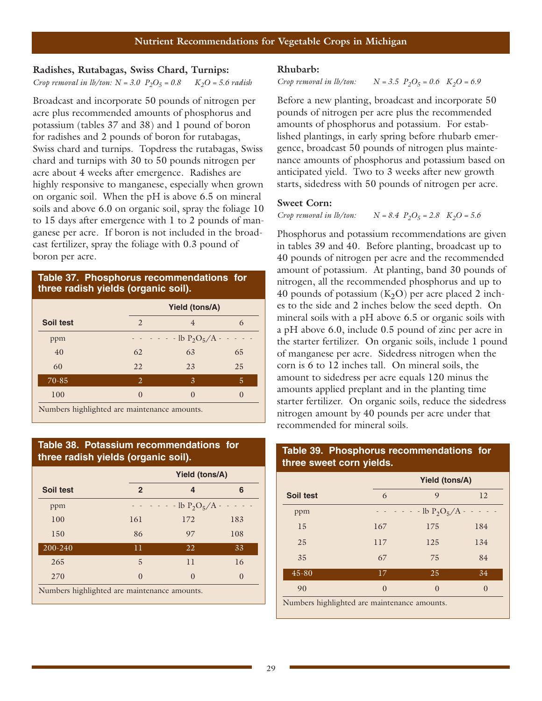#### **Radishes, Rutabagas, Swiss Chard, Turnips:**  *Crop removal in lb/ton:*  $N = 3.0$   $P_2O_5 = 0.8$   $K_2O = 5.6$  radish

Broadcast and incorporate 50 pounds of nitrogen per acre plus recommended amounts of phosphorus and potassium (tables 37 and 38) and 1 pound of boron for radishes and 2 pounds of boron for rutabagas, Swiss chard and turnips. Topdress the rutabagas, Swiss chard and turnips with 30 to 50 pounds nitrogen per acre about 4 weeks after emergence. Radishes are highly responsive to manganese, especially when grown on organic soil. When the pH is above 6.5 on mineral soils and above 6.0 on organic soil, spray the foliage 10 to 15 days after emergence with 1 to 2 pounds of manganese per acre. If boron is not included in the broadcast fertilizer, spray the foliage with 0.3 pound of boron per acre.

#### **Table 37. Phosphorus recommendations for three radish yields (organic soil).**

|           |          | <b>Yield (tons/A)</b> |               |  |  |  |  |
|-----------|----------|-----------------------|---------------|--|--|--|--|
| Soil test | 2        | $\overline{4}$        | 6             |  |  |  |  |
| ppm       |          | $-$ - lb $P_2O_5/A -$ |               |  |  |  |  |
| 40        | 62       | 63                    | 65            |  |  |  |  |
| 60        | 22       | 23                    | 25            |  |  |  |  |
| 70-85     | 2        | 3                     | 5             |  |  |  |  |
| 100       | $\Omega$ | $\left( \right)$      | $\mathcal{L}$ |  |  |  |  |

Numbers highlighted are maintenance amounts.

#### **Table 38. Potassium recommendations for three radish yields (organic soil).**

|                                              |              | Yield (tons/A)   |          |  |  |  |
|----------------------------------------------|--------------|------------------|----------|--|--|--|
| Soil test                                    | $\mathbf{2}$ | 4                | 6        |  |  |  |
| ppm                                          |              | $-Ib P_2O_5/A -$ |          |  |  |  |
| 100                                          | 161          | 172              | 183      |  |  |  |
| 150                                          | 86           | 97               | 108      |  |  |  |
| 200-240                                      | 11           | 22               | 33       |  |  |  |
| 265                                          | 5            | 11               | 16       |  |  |  |
| 270                                          | $\Omega$     | $\Omega$         | $\theta$ |  |  |  |
| Numbers highlighted are maintenance amounts. |              |                  |          |  |  |  |

#### **Rhubarb:**

#### *Crop removal in lb/ton:*  $N = 3.5 \, P_2O_5 = 0.6 \, K_2O = 6.9$

Before a new planting, broadcast and incorporate 50 pounds of nitrogen per acre plus the recommended amounts of phosphorus and potassium. For established plantings, in early spring before rhubarb emergence, broadcast 50 pounds of nitrogen plus maintenance amounts of phosphorus and potassium based on anticipated yield. Two to 3 weeks after new growth starts, sidedress with 50 pounds of nitrogen per acre.

#### **Sweet Corn:**

#### *Crop removal in lb/ton:*  $N = 8.4$   $P_2O_5 = 2.8$   $K_2O = 5.6$

Phosphorus and potassium recommendations are given in tables 39 and 40. Before planting, broadcast up to 40 pounds of nitrogen per acre and the recommended amount of potassium. At planting, band 30 pounds of nitrogen, all the recommended phosphorus and up to 40 pounds of potassium  $(K<sub>2</sub>O)$  per acre placed 2 inches to the side and 2 inches below the seed depth. On mineral soils with a pH above 6.5 or organic soils with a pH above 6.0, include 0.5 pound of zinc per acre in the starter fertilizer. On organic soils, include 1 pound of manganese per acre. Sidedress nitrogen when the corn is 6 to 12 inches tall. On mineral soils, the amount to sidedress per acre equals 120 minus the amounts applied preplant and in the planting time starter fertilizer. On organic soils, reduce the sidedress nitrogen amount by 40 pounds per acre under that recommended for mineral soils.

## **Yield (tons/A) Soil test** 6 9 12 ppm  $- - - - 1b P_2O_5/A - -$ 15 167 175 184 25 117 125 134 35 67 75 84 45-80 17 25 34 90 0 0 0 0

Numbers highlighted are maintenance amounts.

#### **Table 39. Phosphorus recommendations for three sweet corn yields.**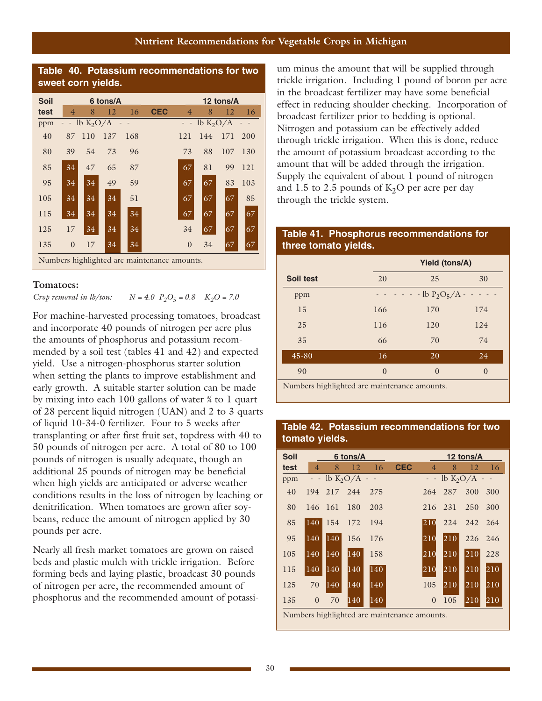#### **Nutrient Recommendations for Vegetable Crops in Michigan**



#### **Tomatoes:**

*Crop removal in lb/ton:*  $N = 4.0$   $P_2O_5 = 0.8$   $K_2O = 7.0$ 

For machine-harvested processing tomatoes, broadcast and incorporate 40 pounds of nitrogen per acre plus the amounts of phosphorus and potassium recommended by a soil test (tables 41 and 42) and expected yield. Use a nitrogen-phosphorus starter solution when setting the plants to improve establishment and early growth. A suitable starter solution can be made by mixing into each 100 gallons of water  $\frac{3}{4}$  to 1 quart of 28 percent liquid nitrogen (UAN) and 2 to 3 quarts of liquid 10-34-0 fertilizer. Four to 5 weeks after transplanting or after first fruit set, topdress with 40 to 50 pounds of nitrogen per acre. A total of 80 to 100 pounds of nitrogen is usually adequate, though an additional 25 pounds of nitrogen may be beneficial when high yields are anticipated or adverse weather conditions results in the loss of nitrogen by leaching or denitrification. When tomatoes are grown after soybeans, reduce the amount of nitrogen applied by 30 pounds per acre.

Nearly all fresh market tomatoes are grown on raised beds and plastic mulch with trickle irrigation. Before forming beds and laying plastic, broadcast 30 pounds of nitrogen per acre, the recommended amount of phosphorus and the recommended amount of potassium minus the amount that will be supplied through trickle irrigation. Including 1 pound of boron per acre in the broadcast fertilizer may have some beneficial effect in reducing shoulder checking. Incorporation of broadcast fertilizer prior to bedding is optional. Nitrogen and potassium can be effectively added through trickle irrigation. When this is done, reduce the amount of potassium broadcast according to the amount that will be added through the irrigation. Supply the equivalent of about 1 pound of nitrogen and 1.5 to 2.5 pounds of  $K_2O$  per acre per day through the trickle system.

#### **Table 41. Phosphorus recommendations for three tomato yields.**

|           |                  | <b>Yield (tons/A)</b>                                                                                               |          |  |  |  |  |
|-----------|------------------|---------------------------------------------------------------------------------------------------------------------|----------|--|--|--|--|
| Soil test | 20               | 25                                                                                                                  | 30       |  |  |  |  |
| ppm       |                  | $\cdot$ $\cdot$ $\cdot$ $\cdot$ $\cdot$ lb P <sub>2</sub> O <sub>5</sub> /A $\cdot$ $\cdot$ $\cdot$ $\cdot$ $\cdot$ |          |  |  |  |  |
| 15        | 166              | 170                                                                                                                 | 174      |  |  |  |  |
| 25        | 116              | 120                                                                                                                 | 124      |  |  |  |  |
| 35        | 66               | 70                                                                                                                  | 74       |  |  |  |  |
| $45 - 80$ | 16               | 20                                                                                                                  | 24       |  |  |  |  |
| 90        | $\left( \right)$ | $\Omega$                                                                                                            | $\Omega$ |  |  |  |  |

Numbers highlighted are maintenance amounts.

#### **Table 42. Potassium recommendations for two tomato yields.**

| <b>Soil</b> | 6 tons/A       |             |                               |               |                                             |                | 12 tons/A |                               |     |  |  |
|-------------|----------------|-------------|-------------------------------|---------------|---------------------------------------------|----------------|-----------|-------------------------------|-----|--|--|
| test        | $\overline{4}$ | 8           | 12                            | 16            | <b>CEC</b>                                  | $\overline{4}$ | 8         | 12                            | 16  |  |  |
| ppm         |                |             | $-$ - lb K <sub>2</sub> O/A - |               |                                             |                |           | $-$ - lb K <sub>2</sub> O/A - |     |  |  |
| 40          |                | 194 217 244 |                               | 275           |                                             |                | 264 287   | 300                           | 300 |  |  |
| 80          |                | 146 161     | 180                           | 203           |                                             |                | 216 231   | 250                           | 300 |  |  |
| 85          | $\vert$ 140    | 154         | 172                           | 194           |                                             | 210            | 224       | 242 264                       |     |  |  |
| 95          | 140            | 140         | 156                           | 176           |                                             | l210l          | 210       | 226 246                       |     |  |  |
| 105         | 140            | 140         | 140                           | 158           |                                             | l210l          | 210       | 210                           | 228 |  |  |
| 115         | 140            | 140         | 140                           | $ 140\rangle$ |                                             | 210            | 210       | 210                           | 210 |  |  |
| 125         | 70             | 140         | 140                           | 140           |                                             | 105            | 210       | 210                           | 210 |  |  |
| 135         | $\mathbf{0}$   | 70          | 140                           | 140           |                                             | $\Omega$       | 105       | 210                           | 210 |  |  |
|             |                |             |                               |               | Numbers highlighted are maintenance amounts |                |           |                               |     |  |  |

umbers highlight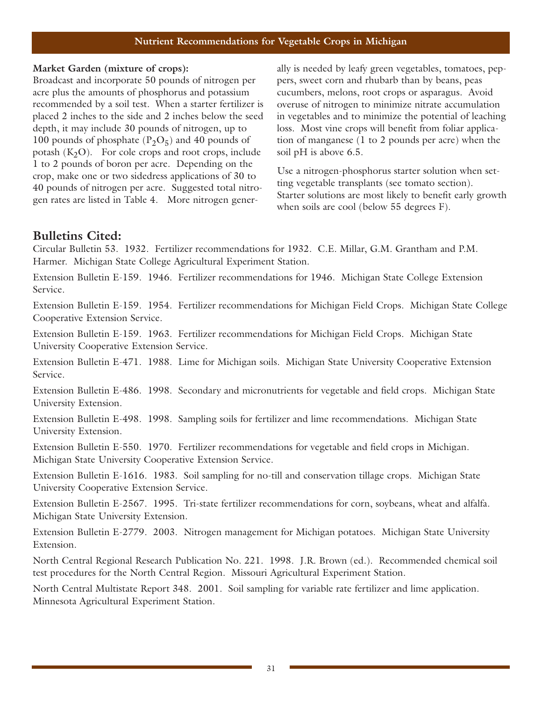#### **Nutrient Recommendations for Vegetable Crops in Michigan**

#### **Market Garden (mixture of crops):**

Broadcast and incorporate 50 pounds of nitrogen per acre plus the amounts of phosphorus and potassium recommended by a soil test. When a starter fertilizer is placed 2 inches to the side and 2 inches below the seed depth, it may include 30 pounds of nitrogen, up to 100 pounds of phosphate  $(P_2O_5)$  and 40 pounds of potash  $(K_2O)$ . For cole crops and root crops, include 1 to 2 pounds of boron per acre. Depending on the crop, make one or two sidedress applications of 30 to 40 pounds of nitrogen per acre. Suggested total nitrogen rates are listed in Table 4. More nitrogen generally is needed by leafy green vegetables, tomatoes, peppers, sweet corn and rhubarb than by beans, peas cucumbers, melons, root crops or asparagus. Avoid overuse of nitrogen to minimize nitrate accumulation in vegetables and to minimize the potential of leaching loss. Most vine crops will benefit from foliar application of manganese (1 to 2 pounds per acre) when the soil pH is above 6.5.

Use a nitrogen-phosphorus starter solution when setting vegetable transplants (see tomato section). Starter solutions are most likely to benefit early growth when soils are cool (below 55 degrees F).

#### **Bulletins Cited:**

Circular Bulletin 53. 1932. Fertilizer recommendations for 1932. C.E. Millar, G.M. Grantham and P.M. Harmer. Michigan State College Agricultural Experiment Station.

Extension Bulletin E-159. 1946. Fertilizer recommendations for 1946. Michigan State College Extension Service.

Extension Bulletin E-159. 1954. Fertilizer recommendations for Michigan Field Crops. Michigan State College Cooperative Extension Service.

Extension Bulletin E-159. 1963. Fertilizer recommendations for Michigan Field Crops. Michigan State University Cooperative Extension Service.

Extension Bulletin E-471. 1988. Lime for Michigan soils. Michigan State University Cooperative Extension Service.

Extension Bulletin E-486. 1998. Secondary and micronutrients for vegetable and field crops. Michigan State University Extension.

Extension Bulletin E-498. 1998. Sampling soils for fertilizer and lime recommendations. Michigan State University Extension.

Extension Bulletin E-550. 1970. Fertilizer recommendations for vegetable and field crops in Michigan. Michigan State University Cooperative Extension Service.

Extension Bulletin E-1616. 1983. Soil sampling for no-till and conservation tillage crops. Michigan State University Cooperative Extension Service.

Extension Bulletin E-2567. 1995. Tri-state fertilizer recommendations for corn, soybeans, wheat and alfalfa. Michigan State University Extension.

Extension Bulletin E-2779. 2003. Nitrogen management for Michigan potatoes. Michigan State University Extension.

North Central Regional Research Publication No. 221. 1998. J.R. Brown (ed.). Recommended chemical soil test procedures for the North Central Region. Missouri Agricultural Experiment Station.

North Central Multistate Report 348. 2001. Soil sampling for variable rate fertilizer and lime application. Minnesota Agricultural Experiment Station.